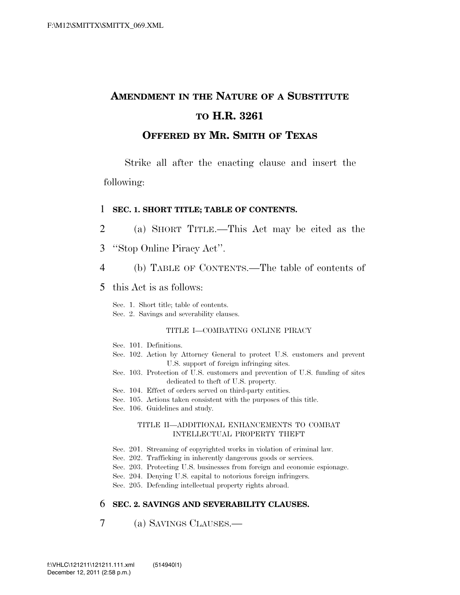# **AMENDMENT IN THE NATURE OF A SUBSTITUTE TO H.R. 3261**

### **OFFERED BY MR. SMITH OF TEXAS**

Strike all after the enacting clause and insert the following:

#### 1 **SEC. 1. SHORT TITLE; TABLE OF CONTENTS.**

- 2 (a) SHORT TITLE.—This Act may be cited as the
- 3 ''Stop Online Piracy Act''.
- 4 (b) TABLE OF CONTENTS.—The table of contents of
- 5 this Act is as follows:

Sec. 1. Short title; table of contents.

Sec. 2. Savings and severability clauses.

#### TITLE I—COMBATING ONLINE PIRACY

- Sec. 101. Definitions.
- Sec. 102. Action by Attorney General to protect U.S. customers and prevent U.S. support of foreign infringing sites.
- Sec. 103. Protection of U.S. customers and prevention of U.S. funding of sites dedicated to theft of U.S. property.
- Sec. 104. Effect of orders served on third-party entities.
- Sec. 105. Actions taken consistent with the purposes of this title.
- Sec. 106. Guidelines and study.

#### TITLE II—ADDITIONAL ENHANCEMENTS TO COMBAT INTELLECTUAL PROPERTY THEFT

- Sec. 201. Streaming of copyrighted works in violation of criminal law.
- Sec. 202. Trafficking in inherently dangerous goods or services.
- Sec. 203. Protecting U.S. businesses from foreign and economic espionage.
- Sec. 204. Denying U.S. capital to notorious foreign infringers.
- Sec. 205. Defending intellectual property rights abroad.

### 6 **SEC. 2. SAVINGS AND SEVERABILITY CLAUSES.**

7 (a) SAVINGS CLAUSES.—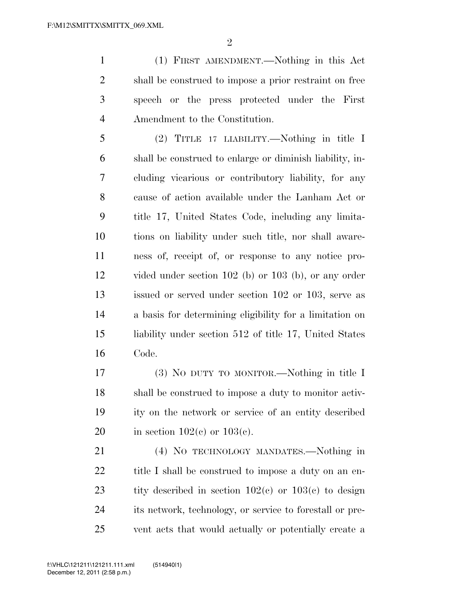(1) FIRST AMENDMENT.—Nothing in this Act shall be construed to impose a prior restraint on free speech or the press protected under the First Amendment to the Constitution.

 (2) TITLE 17 LIABILITY.—Nothing in title I shall be construed to enlarge or diminish liability, in- cluding vicarious or contributory liability, for any cause of action available under the Lanham Act or title 17, United States Code, including any limita- tions on liability under such title, nor shall aware- ness of, receipt of, or response to any notice pro- vided under section 102 (b) or 103 (b), or any order issued or served under section 102 or 103, serve as a basis for determining eligibility for a limitation on liability under section 512 of title 17, United States Code.

 (3) NO DUTY TO MONITOR.—Nothing in title I shall be construed to impose a duty to monitor activ- ity on the network or service of an entity described 20 in section  $102(c)$  or  $103(c)$ .

 (4) NO TECHNOLOGY MANDATES.—Nothing in 22 title I shall be construed to impose a duty on an en-23 tity described in section  $102(c)$  or  $103(c)$  to design its network, technology, or service to forestall or pre-vent acts that would actually or potentially create a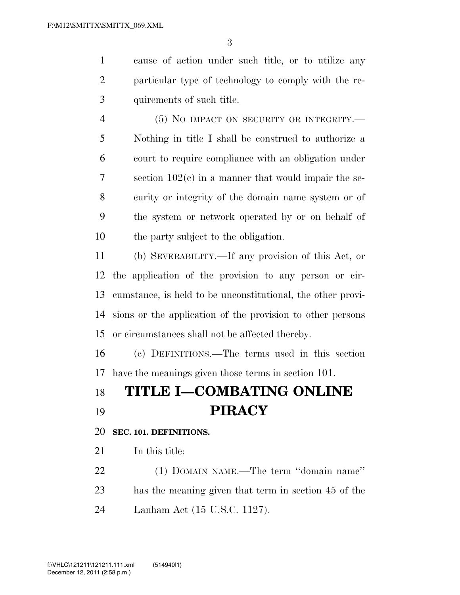cause of action under such title, or to utilize any particular type of technology to comply with the re-quirements of such title.

 (5) NO IMPACT ON SECURITY OR INTEGRITY.— Nothing in title I shall be construed to authorize a court to require compliance with an obligation under section 102(c) in a manner that would impair the se- curity or integrity of the domain name system or of the system or network operated by or on behalf of the party subject to the obligation.

 (b) SEVERABILITY.—If any provision of this Act, or the application of the provision to any person or cir- cumstance, is held to be unconstitutional, the other provi- sions or the application of the provision to other persons or circumstances shall not be affected thereby.

 (c) DEFINITIONS.—The terms used in this section have the meanings given those terms in section 101.

## **TITLE I—COMBATING ONLINE PIRACY**

**SEC. 101. DEFINITIONS.** 

21 In this title:

 (1) DOMAIN NAME.—The term ''domain name'' has the meaning given that term in section 45 of the Lanham Act (15 U.S.C. 1127).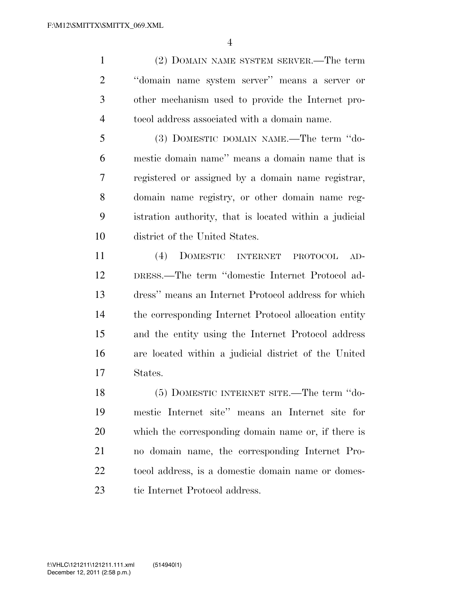(2) DOMAIN NAME SYSTEM SERVER.—The term ''domain name system server'' means a server or other mechanism used to provide the Internet pro-tocol address associated with a domain name.

 (3) DOMESTIC DOMAIN NAME.—The term ''do- mestic domain name'' means a domain name that is registered or assigned by a domain name registrar, domain name registry, or other domain name reg- istration authority, that is located within a judicial district of the United States.

 (4) DOMESTIC INTERNET PROTOCOL AD- DRESS.—The term ''domestic Internet Protocol ad- dress'' means an Internet Protocol address for which the corresponding Internet Protocol allocation entity and the entity using the Internet Protocol address are located within a judicial district of the United States.

 (5) DOMESTIC INTERNET SITE.—The term ''do- mestic Internet site'' means an Internet site for which the corresponding domain name or, if there is no domain name, the corresponding Internet Pro- tocol address, is a domestic domain name or domes-23 tic Internet Protocol address.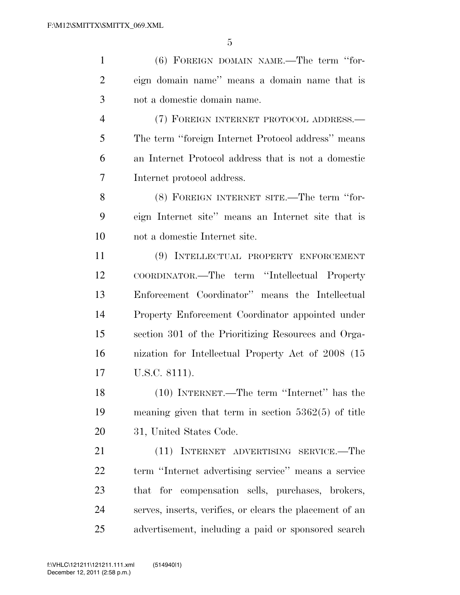| $\mathbf{1}$   | (6) FOREIGN DOMAIN NAME.—The term "for-                  |
|----------------|----------------------------------------------------------|
| $\overline{2}$ | eign domain name" means a domain name that is            |
| 3              | not a domestic domain name.                              |
| $\overline{4}$ | (7) FOREIGN INTERNET PROTOCOL ADDRESS.—                  |
| 5              | The term "foreign Internet Protocol address" means       |
| 6              | an Internet Protocol address that is not a domestic      |
| 7              | Internet protocol address.                               |
| 8              | (8) FOREIGN INTERNET SITE.—The term "for-                |
| 9              | eign Internet site" means an Internet site that is       |
| 10             | not a domestic Internet site.                            |
| 11             | (9) INTELLECTUAL PROPERTY ENFORCEMENT                    |
| 12             | COORDINATOR.—The term "Intellectual Property             |
| 13             | Enforcement Coordinator" means the Intellectual          |
| 14             | Property Enforcement Coordinator appointed under         |
| 15             | section 301 of the Prioritizing Resources and Orga-      |
| 16             | nization for Intellectual Property Act of 2008 (15)      |
| 17             | U.S.C. 8111).                                            |
| 18             | $(10)$ INTERNET.—The term "Internet" has the             |
| 19             | meaning given that term in section $5362(5)$ of title    |
| 20             | 31, United States Code.                                  |
| 21             | (11) INTERNET ADVERTISING SERVICE.—The                   |
| 22             | term "Internet advertising service" means a service      |
| 23             | that for compensation sells, purchases, brokers,         |
| 24             | serves, inserts, verifies, or clears the placement of an |
| 25             | advertisement, including a paid or sponsored search      |
|                |                                                          |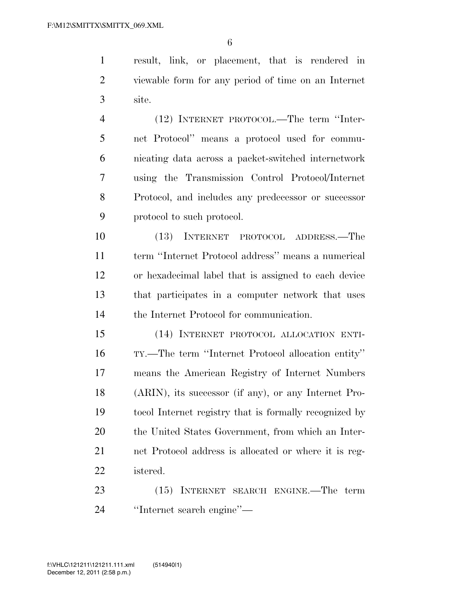result, link, or placement, that is rendered in viewable form for any period of time on an Internet site.

 (12) INTERNET PROTOCOL.—The term ''Inter- net Protocol'' means a protocol used for commu- nicating data across a packet-switched internetwork using the Transmission Control Protocol/Internet Protocol, and includes any predecessor or successor protocol to such protocol.

 (13) INTERNET PROTOCOL ADDRESS.—The term ''Internet Protocol address'' means a numerical or hexadecimal label that is assigned to each device that participates in a computer network that uses the Internet Protocol for communication.

 (14) INTERNET PROTOCOL ALLOCATION ENTI- TY.—The term ''Internet Protocol allocation entity'' means the American Registry of Internet Numbers (ARIN), its successor (if any), or any Internet Pro- tocol Internet registry that is formally recognized by the United States Government, from which an Inter- net Protocol address is allocated or where it is reg-istered.

 (15) INTERNET SEARCH ENGINE.—The term ''Internet search engine''—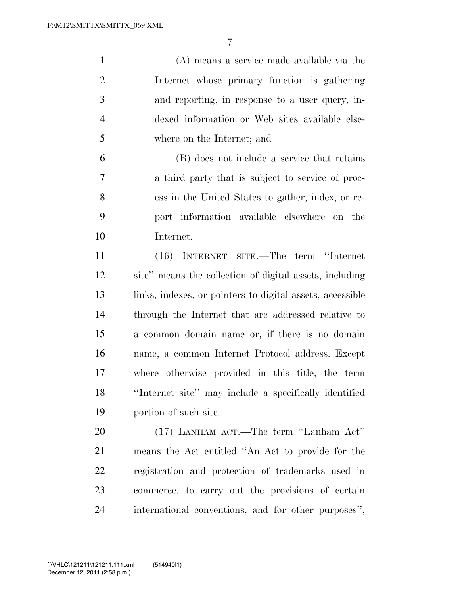(A) means a service made available via the Internet whose primary function is gathering and reporting, in response to a user query, in- dexed information or Web sites available else-where on the Internet; and

 (B) does not include a service that retains a third party that is subject to service of proc- ess in the United States to gather, index, or re- port information available elsewhere on the Internet.

 (16) INTERNET SITE.—The term ''Internet site'' means the collection of digital assets, including links, indexes, or pointers to digital assets, accessible through the Internet that are addressed relative to a common domain name or, if there is no domain name, a common Internet Protocol address. Except where otherwise provided in this title, the term ''Internet site'' may include a specifically identified portion of such site.

 (17) LANHAM ACT.—The term ''Lanham Act'' means the Act entitled ''An Act to provide for the registration and protection of trademarks used in commerce, to carry out the provisions of certain international conventions, and for other purposes'',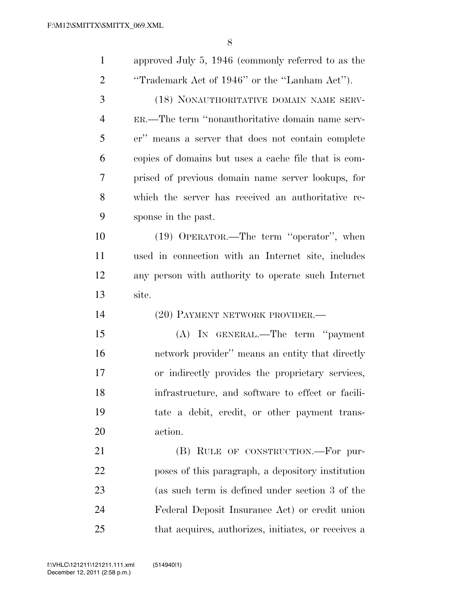| $\mathbf{1}$   | approved July 5, 1946 (commonly referred to as the   |
|----------------|------------------------------------------------------|
| $\overline{2}$ | "Trademark Act of 1946" or the "Lanham Act").        |
| 3              | (18) NONAUTHORITATIVE DOMAIN NAME SERV-              |
| $\overline{4}$ | ER.—The term "nonauthoritative domain name serv-     |
| 5              | er" means a server that does not contain complete    |
| 6              | copies of domains but uses a cache file that is com- |
| 7              | prised of previous domain name server lookups, for   |
| 8              | which the server has received an authoritative re-   |
| 9              | sponse in the past.                                  |
| 10             | (19) OPERATOR.—The term "operator", when             |
| 11             | used in connection with an Internet site, includes   |
| 12             | any person with authority to operate such Internet   |
| 13             | site.                                                |
| 14             | (20) PAYMENT NETWORK PROVIDER.-                      |
| 15             | (A) IN GENERAL.—The term "payment"                   |
| 16             |                                                      |
|                | network provider" means an entity that directly      |
| 17             | or indirectly provides the proprietary services,     |
| 18             | infrastructure, and software to effect or facili-    |
| 19             | tate a debit, credit, or other payment trans-        |
| 20             | action.                                              |
| 21             | (B) RULE OF CONSTRUCTION.—For pur-                   |
| 22             | poses of this paragraph, a depository institution    |
| 23             | (as such term is defined under section 3 of the      |
| 24             | Federal Deposit Insurance Act) or credit union       |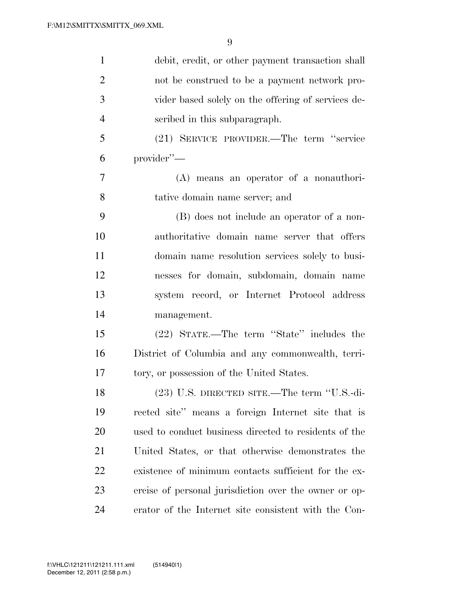| $\mathbf{1}$   | debit, credit, or other payment transaction shall     |
|----------------|-------------------------------------------------------|
| $\overline{2}$ | not be construed to be a payment network pro-         |
| 3              | vider based solely on the offering of services de-    |
| $\overline{4}$ | scribed in this subparagraph.                         |
| 5              | (21) SERVICE PROVIDER.—The term "service"             |
| 6              | provider"-                                            |
| $\overline{7}$ | (A) means an operator of a nonauthori-                |
| 8              | tative domain name server; and                        |
| 9              | (B) does not include an operator of a non-            |
| 10             | authoritative domain name server that offers          |
| 11             | domain name resolution services solely to busi-       |
| 12             | nesses for domain, subdomain, domain name             |
| 13             | system record, or Internet Protocol address           |
| 14             | management.                                           |
| 15             | (22) STATE.—The term "State" includes the             |
| 16             | District of Columbia and any commonwealth, terri-     |
| 17             | tory, or possession of the United States.             |
| 18             | (23) U.S. DIRECTED SITE.—The term "U.S.-di-           |
| 19             | rected site" means a foreign Internet site that is    |
| 20             | used to conduct business directed to residents of the |
| 21             | United States, or that otherwise demonstrates the     |
| 22             | existence of minimum contacts sufficient for the ex-  |
| 23             | ercise of personal jurisdiction over the owner or op- |
| 24             | erator of the Internet site consistent with the Con-  |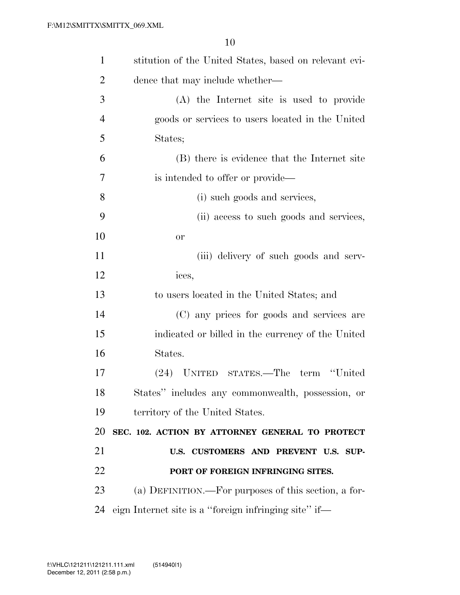| $\mathbf{1}$   | stitution of the United States, based on relevant evi- |
|----------------|--------------------------------------------------------|
| $\overline{2}$ | dence that may include whether—                        |
| 3              | (A) the Internet site is used to provide               |
| $\overline{4}$ | goods or services to users located in the United       |
| 5              | States;                                                |
| 6              | (B) there is evidence that the Internet site           |
| $\overline{7}$ | is intended to offer or provide—                       |
| 8              | (i) such goods and services,                           |
| 9              | (ii) access to such goods and services,                |
| 10             | <b>or</b>                                              |
| 11             | (iii) delivery of such goods and serv-                 |
| 12             | ices,                                                  |
| 13             | to users located in the United States; and             |
| 14             | (C) any prices for goods and services are              |
| 15             | indicated or billed in the currency of the United      |
| 16             | States.                                                |
| 17             | STATES.—The term "United<br>$(24)$ UNITED              |
| 18             | States" includes any commonwealth, possession, or      |
| 19             | territory of the United States.                        |
| 20             | SEC. 102. ACTION BY ATTORNEY GENERAL TO PROTECT        |
| 21             | U.S. CUSTOMERS AND PREVENT U.S. SUP-                   |
| 22             | PORT OF FOREIGN INFRINGING SITES.                      |
| 23             | (a) DEFINITION.—For purposes of this section, a for-   |
| 24             | eign Internet site is a "foreign infringing site" if—  |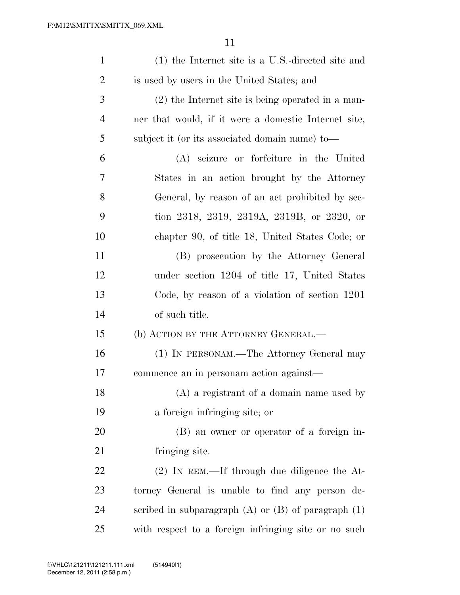| $\mathbf{1}$   | (1) the Internet site is a U.S.-directed site and         |
|----------------|-----------------------------------------------------------|
| $\overline{2}$ | is used by users in the United States; and                |
| 3              | $(2)$ the Internet site is being operated in a man-       |
| $\overline{4}$ | ner that would, if it were a domestic Internet site,      |
| 5              | subject it (or its associated domain name) to—            |
| 6              | (A) seizure or forfeiture in the United                   |
| 7              | States in an action brought by the Attorney               |
| 8              | General, by reason of an act prohibited by sec-           |
| 9              | tion 2318, 2319, 2319A, 2319B, or 2320, or                |
| 10             | chapter 90, of title 18, United States Code; or           |
| 11             | (B) prosecution by the Attorney General                   |
| 12             | under section 1204 of title 17, United States             |
| 13             | Code, by reason of a violation of section 1201            |
| 14             | of such title.                                            |
| 15             | (b) ACTION BY THE ATTORNEY GENERAL.                       |
| 16             | (1) IN PERSONAM.—The Attorney General may                 |
| 17             | commence an in personam action against—                   |
| 18             | $(A)$ a registrant of a domain name used by               |
| 19             | a foreign infringing site; or                             |
| 20             | (B) an owner or operator of a foreign in-                 |
| 21             | fringing site.                                            |
| <u>22</u>      | $(2)$ In REM.—If through due diligence the At-            |
| 23             | torney General is unable to find any person de-           |
| 24             | scribed in subparagraph $(A)$ or $(B)$ of paragraph $(1)$ |
| 25             | with respect to a foreign infringing site or no such      |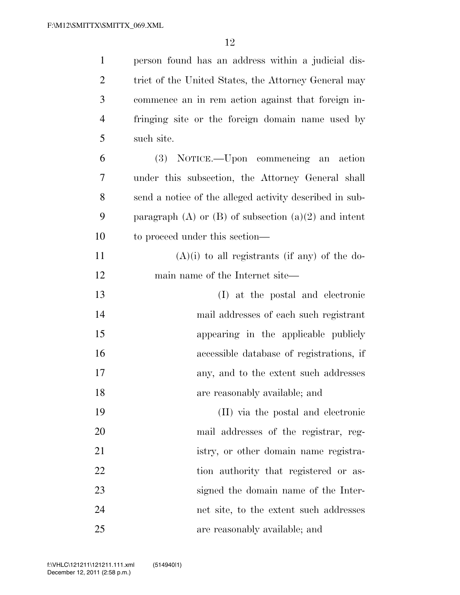| $\mathbf{1}$   | person found has an address within a judicial dis-         |
|----------------|------------------------------------------------------------|
| $\overline{2}$ | trict of the United States, the Attorney General may       |
| 3              | commence an in rem action against that foreign in-         |
| $\overline{4}$ | fringing site or the foreign domain name used by           |
| 5              | such site.                                                 |
| 6              | (3) NOTICE.—Upon commencing an action                      |
| 7              | under this subsection, the Attorney General shall          |
| 8              | send a notice of the alleged activity described in sub-    |
| 9              | paragraph $(A)$ or $(B)$ of subsection $(a)(2)$ and intent |
| 10             | to proceed under this section—                             |
| 11             | $(A)(i)$ to all registrants (if any) of the do-            |
| 12             | main name of the Internet site—                            |
| 13             | (I) at the postal and electronic                           |
| 14             | mail addresses of each such registrant                     |
| 15             | appearing in the applicable publicly                       |
| 16             | accessible database of registrations, if                   |
| 17             | any, and to the extent such addresses                      |
| 18             | are reasonably available; and                              |
| 19             | (II) via the postal and electronic                         |
| 20             | mail addresses of the registrar, reg-                      |
| 21             | istry, or other domain name registra-                      |
| 22             | tion authority that registered or as-                      |
| 23             | signed the domain name of the Inter-                       |
| 24             | net site, to the extent such addresses                     |
| 25             | are reasonably available; and                              |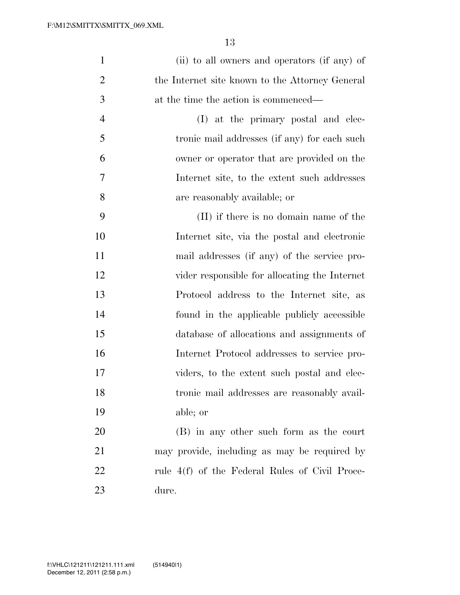| $\mathbf{1}$   | (ii) to all owners and operators (if any) of    |
|----------------|-------------------------------------------------|
| $\overline{2}$ | the Internet site known to the Attorney General |
| 3              | at the time the action is commenced—            |
| $\overline{4}$ | (I) at the primary postal and elec-             |
| 5              | tronic mail addresses (if any) for each such    |
| 6              | owner or operator that are provided on the      |
| 7              | Internet site, to the extent such addresses     |
| 8              | are reasonably available; or                    |
| 9              | (II) if there is no domain name of the          |
| 10             | Internet site, via the postal and electronic    |
| 11             | mail addresses (if any) of the service pro-     |
| 12             | vider responsible for allocating the Internet   |
| 13             | Protocol address to the Internet site, as       |
| 14             | found in the applicable publicly accessible     |
| 15             | database of allocations and assignments of      |
| 16             | Internet Protocol addresses to service pro-     |
| 17             | viders, to the extent such postal and elec-     |
| 18             | tronic mail addresses are reasonably avail-     |
| 19             | able; or                                        |
| <b>20</b>      | (B) in any other such form as the court         |
| 21             | may provide, including as may be required by    |
| 22             | rule 4(f) of the Federal Rules of Civil Proce-  |
| 23             | dure.                                           |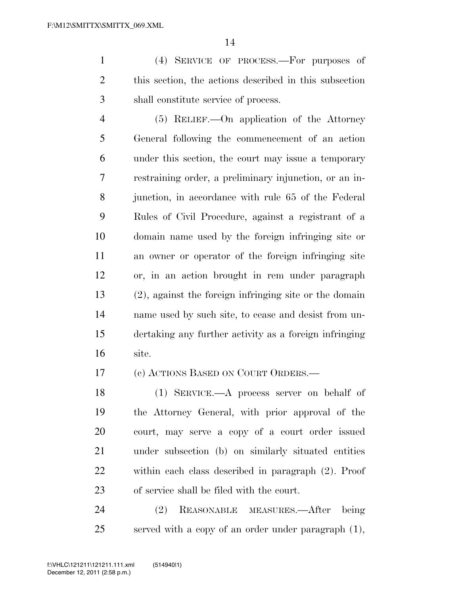(4) SERVICE OF PROCESS.—For purposes of this section, the actions described in this subsection shall constitute service of process.

 (5) RELIEF.—On application of the Attorney General following the commencement of an action under this section, the court may issue a temporary restraining order, a preliminary injunction, or an in- junction, in accordance with rule 65 of the Federal Rules of Civil Procedure, against a registrant of a domain name used by the foreign infringing site or an owner or operator of the foreign infringing site or, in an action brought in rem under paragraph (2), against the foreign infringing site or the domain name used by such site, to cease and desist from un- dertaking any further activity as a foreign infringing site.

(c) ACTIONS BASED ON COURT ORDERS.—

 (1) SERVICE.—A process server on behalf of the Attorney General, with prior approval of the court, may serve a copy of a court order issued under subsection (b) on similarly situated entities within each class described in paragraph (2). Proof of service shall be filed with the court.

 (2) REASONABLE MEASURES.—After being served with a copy of an order under paragraph (1),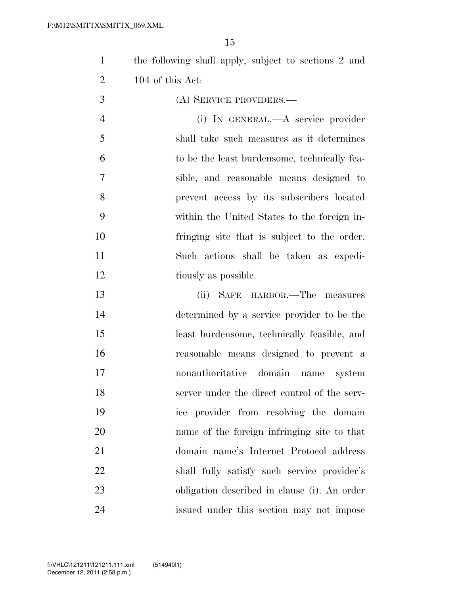the following shall apply, subject to sections 2 and 104 of this Act:

- (A) SERVICE PROVIDERS.— (i) IN GENERAL.—A service provider shall take such measures as it determines to be the least burdensome, technically fea- sible, and reasonable means designed to prevent access by its subscribers located within the United States to the foreign in- fringing site that is subject to the order. Such actions shall be taken as expedi-12 tiously as possible.
- (ii) SAFE HARBOR.—The measures determined by a service provider to be the least burdensome, technically feasible, and reasonable means designed to prevent a nonauthoritative domain name system server under the direct control of the serv- ice provider from resolving the domain name of the foreign infringing site to that domain name's Internet Protocol address shall fully satisfy such service provider's obligation described in clause (i). An order issued under this section may not impose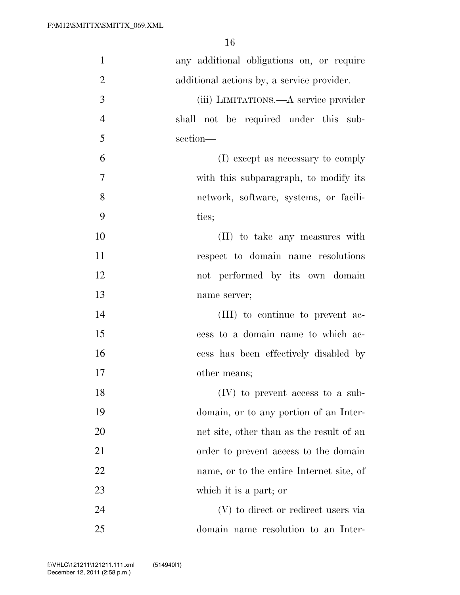| $\mathbf{1}$   | any additional obligations on, or require  |
|----------------|--------------------------------------------|
| $\overline{2}$ | additional actions by, a service provider. |
| 3              | (iii) LIMITATIONS.—A service provider      |
| $\overline{4}$ | shall not be required under this sub-      |
| 5              | section-                                   |
| 6              | (I) except as necessary to comply          |
| 7              | with this subparagraph, to modify its      |
| 8              | network, software, systems, or facili-     |
| 9              | ties;                                      |
| 10             | (II) to take any measures with             |
| 11             | respect to domain name resolutions         |
| 12             | not performed by its own domain            |
| 13             | name server;                               |
| 14             | (III) to continue to prevent ac-           |
| 15             | cess to a domain name to which ac-         |
| 16             | cess has been effectively disabled by      |
| 17             | other means;                               |
| 18             | $(IV)$ to prevent access to a sub-         |
| 19             | domain, or to any portion of an Inter-     |
| 20             | net site, other than as the result of an   |
| 21             | order to prevent access to the domain      |
| 22             | name, or to the entire Internet site, of   |
| 23             | which it is a part; or                     |
| 24             | (V) to direct or redirect users via        |
| 25             | domain name resolution to an Inter-        |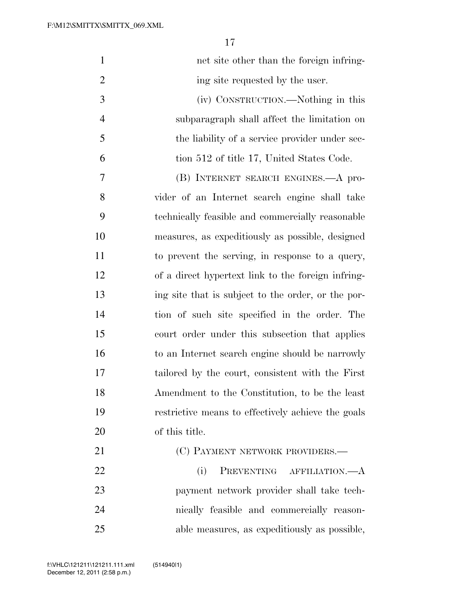| $\mathbf{1}$   | net site other than the foreign infring-           |
|----------------|----------------------------------------------------|
| $\overline{2}$ | ing site requested by the user.                    |
| 3              | (iv) CONSTRUCTION.—Nothing in this                 |
| $\overline{4}$ | subparagraph shall affect the limitation on        |
| $\mathfrak{S}$ | the liability of a service provider under sec-     |
| 6              | tion 512 of title 17, United States Code.          |
| $\tau$         | (B) INTERNET SEARCH ENGINES.—A pro-                |
| 8              | vider of an Internet search engine shall take      |
| 9              | technically feasible and commercially reasonable   |
| 10             | measures, as expeditiously as possible, designed   |
| 11             | to prevent the serving, in response to a query,    |
| 12             | of a direct hypertext link to the foreign infring- |
| 13             | ing site that is subject to the order, or the por- |
| 14             | tion of such site specified in the order. The      |
| 15             | court order under this subsection that applies     |
| 16             | to an Internet search engine should be narrowly    |
| 17             | tailored by the court, consistent with the First   |
| 18             | Amendment to the Constitution, to be the least     |
| 19             | restrictive means to effectively achieve the goals |
| 20             | of this title.                                     |
| 21             | (C) PAYMENT NETWORK PROVIDERS.—                    |
| 22             | PREVENTING AFFILIATION.-<br>(i)                    |
| 23             | payment network provider shall take tech-          |
| 24             | nically feasible and commercially reason-          |
| 25             | able measures, as expeditiously as possible,       |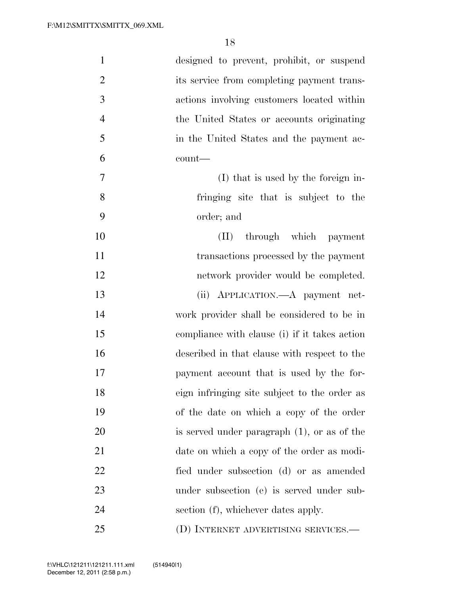| $\mathbf{1}$   | designed to prevent, prohibit, or suspend      |
|----------------|------------------------------------------------|
| $\overline{2}$ | its service from completing payment trans-     |
| 3              | actions involving customers located within     |
| $\overline{4}$ | the United States or accounts originating      |
| 5              | in the United States and the payment ac-       |
| 6              | count—                                         |
| 7              | (I) that is used by the foreign in-            |
| 8              | fringing site that is subject to the           |
| 9              | order; and                                     |
| 10             | (II) through which payment                     |
| 11             | transactions processed by the payment          |
| 12             | network provider would be completed.           |
| 13             | (ii) APPLICATION.—A payment net-               |
| 14             | work provider shall be considered to be in     |
| 15             | compliance with clause (i) if it takes action  |
| 16             | described in that clause with respect to the   |
| 17             | payment account that is used by the for-       |
| 18             | eign infringing site subject to the order as   |
| 19             | of the date on which a copy of the order       |
| 20             | is served under paragraph $(1)$ , or as of the |
| 21             | date on which a copy of the order as modi-     |
| 22             | fied under subsection (d) or as amended        |
| 23             | under subsection (e) is served under sub-      |
| 24             | section (f), whichever dates apply.            |
| 25             | (D) INTERNET ADVERTISING SERVICES.—            |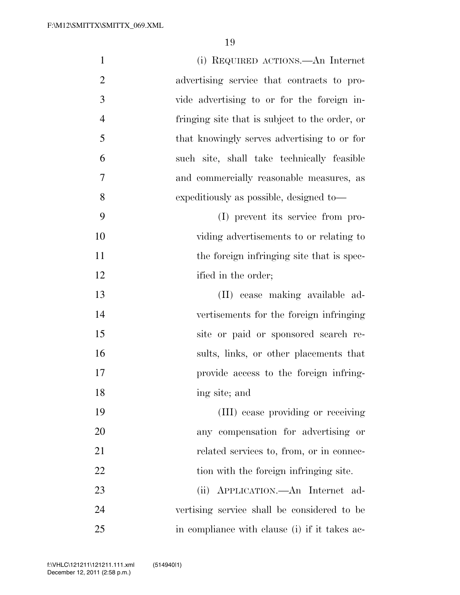| $\mathbf{1}$   | (i) REQUIRED ACTIONS.—An Internet              |
|----------------|------------------------------------------------|
| $\overline{2}$ | advertising service that contracts to pro-     |
| 3              | vide advertising to or for the foreign in-     |
| $\overline{4}$ | fringing site that is subject to the order, or |
| 5              | that knowingly serves advertising to or for    |
| 6              | such site, shall take technically feasible     |
| $\overline{7}$ | and commercially reasonable measures, as       |
| 8              | expeditiously as possible, designed to—        |
| 9              | (I) prevent its service from pro-              |
| 10             | viding advertisements to or relating to        |
| 11             | the foreign infringing site that is spec-      |
| 12             | ified in the order;                            |
| 13             | (II) cease making available ad-                |
| 14             | vertisements for the foreign infringing        |
| 15             | site or paid or sponsored search re-           |
| 16             | sults, links, or other placements that         |
| 17             | provide access to the foreign infring-         |
| 18             | ing site; and                                  |
| 19             | (III) cease providing or receiving             |
| 20             | any compensation for advertising or            |
| 21             | related services to, from, or in connec-       |
| 22             | tion with the foreign infringing site.         |
| 23             | (ii) APPLICATION.—An Internet ad-              |
| 24             | vertising service shall be considered to be    |
| 25             | in compliance with clause (i) if it takes ac-  |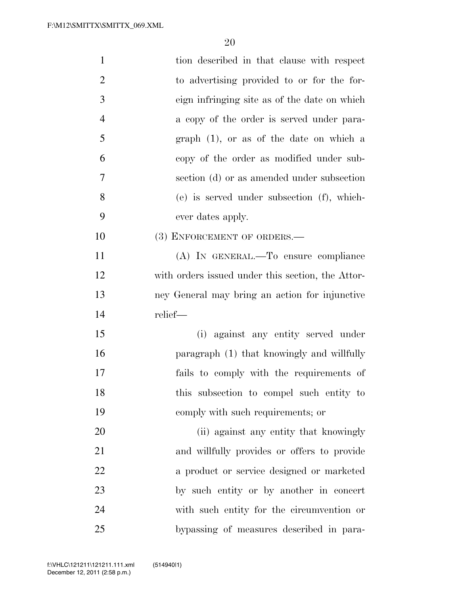| $\mathbf{1}$   | tion described in that clause with respect        |
|----------------|---------------------------------------------------|
| $\overline{2}$ | to advertising provided to or for the for-        |
| $\mathfrak{Z}$ | eign infringing site as of the date on which      |
| $\overline{4}$ | a copy of the order is served under para-         |
| 5              | graph $(1)$ , or as of the date on which a        |
| 6              | copy of the order as modified under sub-          |
| 7              | section (d) or as amended under subsection        |
| 8              | (e) is served under subsection (f), which-        |
| 9              | ever dates apply.                                 |
| 10             | (3) ENFORCEMENT OF ORDERS.-                       |
| 11             | (A) IN GENERAL.—To ensure compliance              |
| 12             | with orders issued under this section, the Attor- |
| 13             | ney General may bring an action for injunctive    |
| 14             | relief-                                           |
| 15             | (i) against any entity served under               |
| 16             | paragraph (1) that knowingly and willfully        |
| 17             | fails to comply with the requirements of          |
| 18             | this subsection to compel such entity to          |
| 19             | comply with such requirements; or                 |
| 20             | (ii) against any entity that knowingly            |
| 21             | and willfully provides or offers to provide       |
| 22             | a product or service designed or marketed         |
| 23             | by such entity or by another in concert           |
| 24             | with such entity for the circumvention or         |
| 25             | bypassing of measures described in para-          |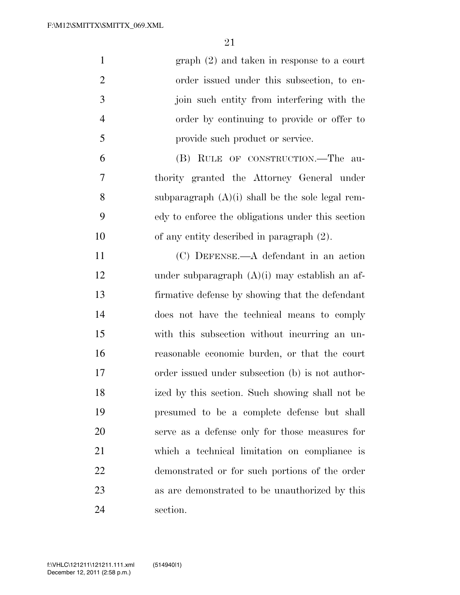| $\mathbf{1}$   | $graph (2)$ and taken in response to a court       |
|----------------|----------------------------------------------------|
| $\overline{2}$ | order issued under this subsection, to en-         |
| 3              | join such entity from interfering with the         |
| $\overline{4}$ | order by continuing to provide or offer to         |
| 5              | provide such product or service.                   |
| 6              | (B) RULE OF CONSTRUCTION.—The au-                  |
| 7              | thority granted the Attorney General under         |
| 8              | subparagraph $(A)(i)$ shall be the sole legal rem- |
| 9              | edy to enforce the obligations under this section  |
| 10             | of any entity described in paragraph $(2)$ .       |
| 11             | $(C)$ DEFENSE.—A defendant in an action            |
| 12             | under subparagraph $(A)(i)$ may establish an af-   |
| 13             | firmative defense by showing that the defendant    |
| 14             | does not have the technical means to comply        |
| 15             | with this subsection without incurring an un-      |
| 16             | reasonable economic burden, or that the court      |
| 17             | order issued under subsection (b) is not author-   |
| 18             | ized by this section. Such showing shall not be    |
| 19             | presumed to be a complete defense but shall        |
| 20             | serve as a defense only for those measures for     |
| 21             | which a technical limitation on compliance is      |
| 22             | demonstrated or for such portions of the order     |
| 23             | as are demonstrated to be unauthorized by this     |
| 24             | section.                                           |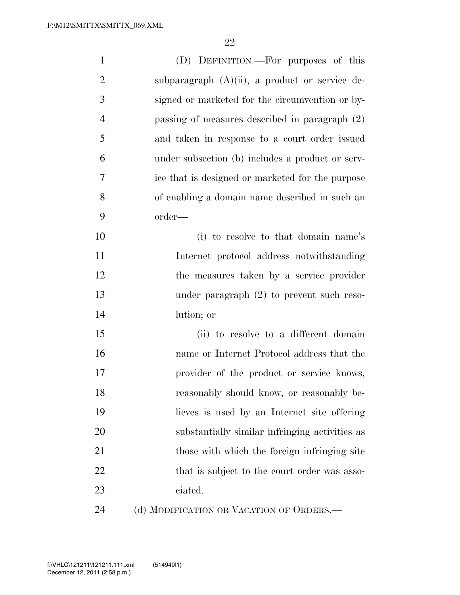| $\mathbf{1}$   | (D) DEFINITION.—For purposes of this              |
|----------------|---------------------------------------------------|
| $\overline{2}$ | subparagraph $(A)(ii)$ , a product or service de- |
| 3              | signed or marketed for the circumvention or by-   |
| $\overline{4}$ | passing of measures described in paragraph (2)    |
| 5              | and taken in response to a court order issued     |
| 6              | under subsection (b) includes a product or serv-  |
| 7              | ice that is designed or marketed for the purpose  |
| 8              | of enabling a domain name described in such an    |
| 9              | order—                                            |
| 10             | (i) to resolve to that domain name's              |
| 11             | Internet protocol address notwithstanding         |
| 12             | the measures taken by a service provider          |
| 13             | under paragraph $(2)$ to prevent such reso-       |
| 14             | lution; or                                        |
| 15             | (ii) to resolve to a different domain             |
| 16             | name or Internet Protocol address that the        |
| 17             | provider of the product or service knows,         |
| 18             | reasonably should know, or reasonably be-         |
| 19             | lieves is used by an Internet site offering       |
| 20             | substantially similar infringing activities as    |
| 21             | those with which the foreign infringing site      |
| 22             | that is subject to the court order was asso-      |
| 23             | ciated.                                           |
| 24             | (d) MODIFICATION OR VACATION OF ORDERS.—          |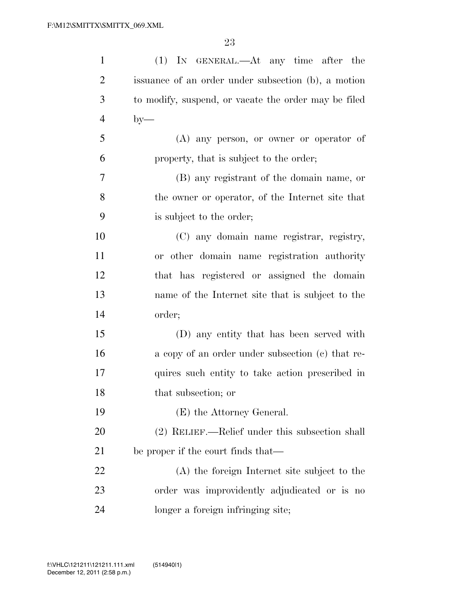| $\mathbf{1}$   | (1) IN GENERAL.—At any time after the                |
|----------------|------------------------------------------------------|
| $\overline{2}$ | issuance of an order under subsection (b), a motion  |
| 3              | to modify, suspend, or vacate the order may be filed |
| $\overline{4}$ | $by-$                                                |
| 5              | (A) any person, or owner or operator of              |
| 6              | property, that is subject to the order;              |
| $\tau$         | (B) any registrant of the domain name, or            |
| 8              | the owner or operator, of the Internet site that     |
| 9              | is subject to the order;                             |
| 10             | (C) any domain name registrar, registry,             |
| 11             | or other domain name registration authority          |
| 12             | that has registered or assigned the domain           |
| 13             | name of the Internet site that is subject to the     |
| 14             | order;                                               |
| 15             | (D) any entity that has been served with             |
| 16             | a copy of an order under subsection (c) that re-     |
| 17             | quires such entity to take action prescribed in      |
| 18             | that subsection; or                                  |
| 19             | (E) the Attorney General.                            |
| 20             | (2) RELIEF.—Relief under this subsection shall       |
| 21             | be proper if the court finds that—                   |
| 22             | (A) the foreign Internet site subject to the         |
| 23             | order was improvidently adjudicated or is no         |
| 24             | longer a foreign infringing site;                    |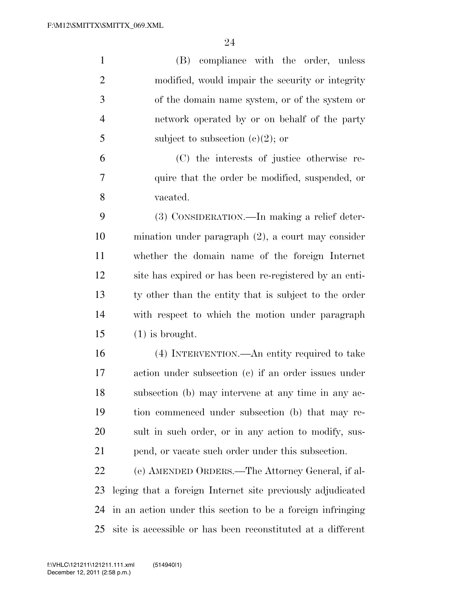| $\mathbf{1}$   | (B) compliance with the order, unless                       |  |
|----------------|-------------------------------------------------------------|--|
| $\overline{2}$ | modified, would impair the security or integrity            |  |
| 3              | of the domain name system, or of the system or              |  |
| $\overline{4}$ | network operated by or on behalf of the party               |  |
| 5              | subject to subsection $(c)(2)$ ; or                         |  |
| 6              | (C) the interests of justice otherwise re-                  |  |
| 7              | quire that the order be modified, suspended, or             |  |
| 8              | vacated.                                                    |  |
| 9              | (3) CONSIDERATION.—In making a relief deter-                |  |
| 10             | mination under paragraph $(2)$ , a court may consider       |  |
| 11             | whether the domain name of the foreign Internet             |  |
| 12             | site has expired or has been re-registered by an enti-      |  |
| 13             | ty other than the entity that is subject to the order       |  |
| 14             | with respect to which the motion under paragraph            |  |
| 15             | $(1)$ is brought.                                           |  |
| 16             | (4) INTERVENTION.—An entity required to take                |  |
| 17             | action under subsection (c) if an order issues under        |  |
| 18             | subsection (b) may intervene at any time in any ac-         |  |
| 19             | tion commenced under subsection (b) that may re-            |  |
| 20             | sult in such order, or in any action to modify, sus-        |  |
| 21             | pend, or vacate such order under this subsection.           |  |
| 22             | (e) AMENDED ORDERS.—The Attorney General, if al-            |  |
| 23             | leging that a foreign Internet site previously adjudicated  |  |
| 24             | in an action under this section to be a foreign infringing  |  |
| 25             | site is accessible or has been reconstituted at a different |  |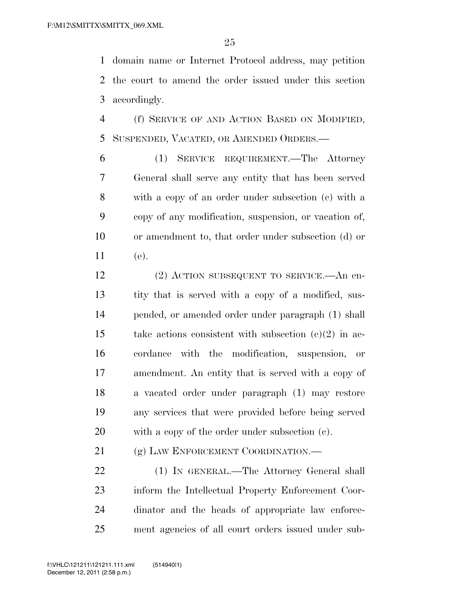domain name or Internet Protocol address, may petition the court to amend the order issued under this section accordingly.

 (f) SERVICE OF AND ACTION BASED ON MODIFIED, SUSPENDED, VACATED, OR AMENDED ORDERS.—

 (1) SERVICE REQUIREMENT.—The Attorney General shall serve any entity that has been served with a copy of an order under subsection (c) with a copy of any modification, suspension, or vacation of, or amendment to, that order under subsection (d) or (e).

 (2) ACTION SUBSEQUENT TO SERVICE.—An en- tity that is served with a copy of a modified, sus- pended, or amended order under paragraph (1) shall take actions consistent with subsection (c)(2) in ac- cordance with the modification, suspension, or amendment. An entity that is served with a copy of a vacated order under paragraph (1) may restore any services that were provided before being served with a copy of the order under subsection (c).

21 (g) LAW ENFORCEMENT COORDINATION.

 (1) IN GENERAL.—The Attorney General shall inform the Intellectual Property Enforcement Coor- dinator and the heads of appropriate law enforce-ment agencies of all court orders issued under sub-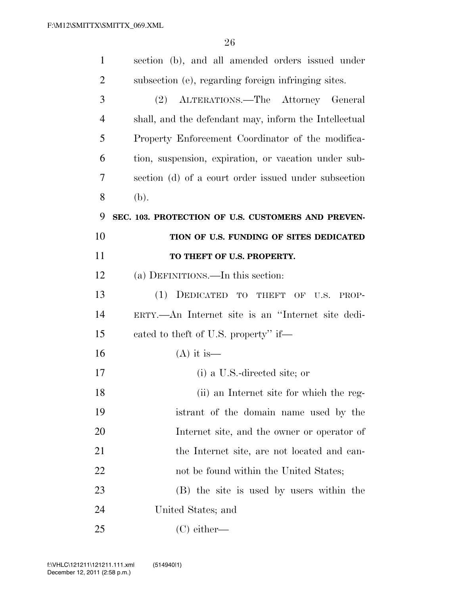| $\mathbf{1}$   | section (b), and all amended orders issued under      |
|----------------|-------------------------------------------------------|
| $\overline{2}$ | subsection (e), regarding foreign infringing sites.   |
| 3              | (2) ALTERATIONS.—The Attorney General                 |
| $\overline{4}$ | shall, and the defendant may, inform the Intellectual |
| 5              | Property Enforcement Coordinator of the modifica-     |
| 6              | tion, suspension, expiration, or vacation under sub-  |
| 7              | section (d) of a court order issued under subsection  |
| 8              | (b).                                                  |
| 9              | SEC. 103. PROTECTION OF U.S. CUSTOMERS AND PREVEN-    |
| 10             | TION OF U.S. FUNDING OF SITES DEDICATED               |
| 11             | TO THEFT OF U.S. PROPERTY.                            |
| 12             | (a) DEFINITIONS.—In this section:                     |
| 13             | (1) DEDICATED TO THEFT OF U.S.<br>PROP-               |
| 14             | ERTY.—An Internet site is an "Internet site dedi-     |
| 15             | cated to the ft of U.S. property" if—                 |
| 16             | $(A)$ it is —                                         |
| 17             | (i) a U.S.-directed site; or                          |
| 18             | (ii) an Internet site for which the reg-              |
| 19             | istrant of the domain name used by the                |
| 20             | Internet site, and the owner or operator of           |
| 21             | the Internet site, are not located and can-           |
| 22             | not be found within the United States;                |
| 23             | (B) the site is used by users within the              |
| 24             | United States; and                                    |
| 25             | $(C)$ either—                                         |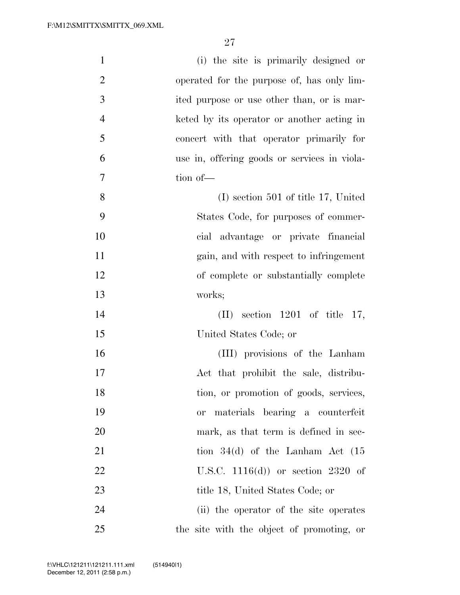| $\mathbf{1}$   | (i) the site is primarily designed or               |
|----------------|-----------------------------------------------------|
| $\overline{2}$ | operated for the purpose of, has only lim-          |
| 3              | ited purpose or use other than, or is mar-          |
| $\overline{4}$ | keted by its operator or another acting in          |
| 5              | concert with that operator primarily for            |
| 6              | use in, offering goods or services in viola-        |
| 7              | tion of-                                            |
| 8              | $(I)$ section 501 of title 17, United               |
| 9              | States Code, for purposes of commer-                |
| 10             | cial advantage or private financial                 |
| 11             | gain, and with respect to infringement              |
| 12             | of complete or substantially complete               |
| 13             | works;                                              |
| 14             | section $1201$ of title 17,<br>$(\Pi)^{\mathsf{T}}$ |
| 15             | United States Code; or                              |
| 16             | (III) provisions of the Lanham                      |
| 17             | Act that prohibit the sale, distribu-               |
| 18             | tion, or promotion of goods, services,              |
| 19             | materials bearing a counterfeit<br>or               |
| 20             | mark, as that term is defined in sec-               |
| 21             | tion $34(d)$ of the Lanham Act $(15$                |
| 22             | U.S.C. $1116(d)$ or section 2320 of                 |
| 23             | title 18, United States Code; or                    |
| 24             | (ii) the operator of the site operates              |
| 25             | the site with the object of promoting, or           |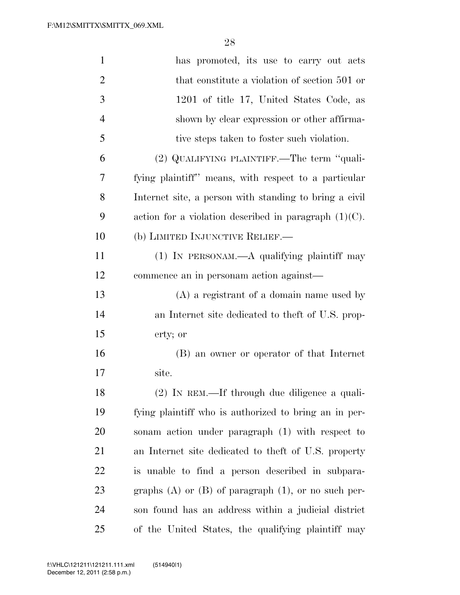| $\mathbf{1}$   | has promoted, its use to carry out acts                    |
|----------------|------------------------------------------------------------|
| $\overline{2}$ | that constitute a violation of section 501 or              |
| 3              | 1201 of title 17, United States Code, as                   |
| $\overline{4}$ | shown by clear expression or other affirma-                |
| 5              | tive steps taken to foster such violation.                 |
| 6              | (2) QUALIFYING PLAINTIFF.—The term "quali-                 |
| 7              | fying plaintiff" means, with respect to a particular       |
| 8              | Internet site, a person with standing to bring a civil     |
| 9              | action for a violation described in paragraph $(1)(C)$ .   |
| 10             | (b) LIMITED INJUNCTIVE RELIEF.—                            |
| 11             | $(1)$ IN PERSONAM.—A qualifying plaintiff may              |
| 12             | commence an in personam action against—                    |
| 13             | $(A)$ a registrant of a domain name used by                |
| 14             | an Internet site dedicated to the ft of U.S. prop-         |
| 15             | erty; or                                                   |
| 16             | (B) an owner or operator of that Internet                  |
| 17             | site.                                                      |
| 18             | (2) IN REM.—If through due diligence a quali-              |
| 19             | fying plaintiff who is authorized to bring an in per-      |
| 20             | sonam action under paragraph (1) with respect to           |
| 21             | an Internet site dedicated to the ft of U.S. property      |
| 22             | is unable to find a person described in subpara-           |
| 23             | graphs $(A)$ or $(B)$ of paragraph $(1)$ , or no such per- |
| 24             | son found has an address within a judicial district        |
| 25             | of the United States, the qualifying plaintiff may         |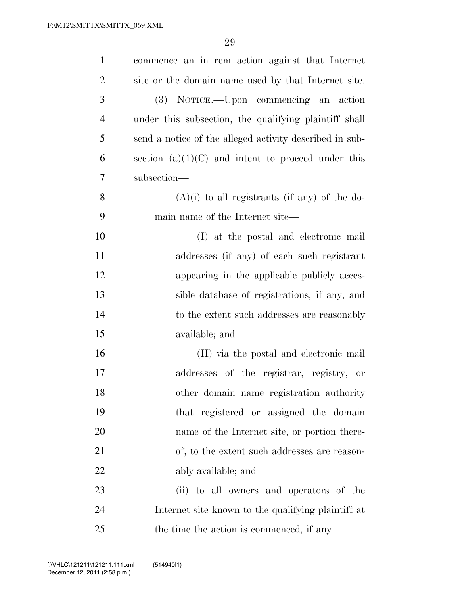| $\mathbf{1}$   | commence an in rem action against that Internet         |
|----------------|---------------------------------------------------------|
| $\overline{2}$ | site or the domain name used by that Internet site.     |
| 3              | (3) NOTICE.—Upon commencing an action                   |
| $\overline{4}$ | under this subsection, the qualifying plaintiff shall   |
| 5              | send a notice of the alleged activity described in sub- |
| 6              | section $(a)(1)(C)$ and intent to proceed under this    |
| 7              | subsection-                                             |
| 8              | $(A)(i)$ to all registrants (if any) of the do-         |
| 9              | main name of the Internet site—                         |
| 10             | (I) at the postal and electronic mail                   |
| 11             | addresses (if any) of each such registrant              |
| 12             | appearing in the applicable publicly acces-             |
| 13             | sible database of registrations, if any, and            |
| 14             | to the extent such addresses are reasonably             |
| 15             | available; and                                          |
| 16             | (II) via the postal and electronic mail                 |
| 17             | addresses of the registrar, registry, or                |
| 18             | other domain name registration authority                |
| 19             | that registered or assigned the domain                  |
| 20             | name of the Internet site, or portion there-            |
| 21             | of, to the extent such addresses are reason-            |
| 22             | ably available; and                                     |
| 23             | (ii) to all owners and operators of the                 |
| 24             | Internet site known to the qualifying plaintiff at      |
| 25             | the time the action is commenced, if any—               |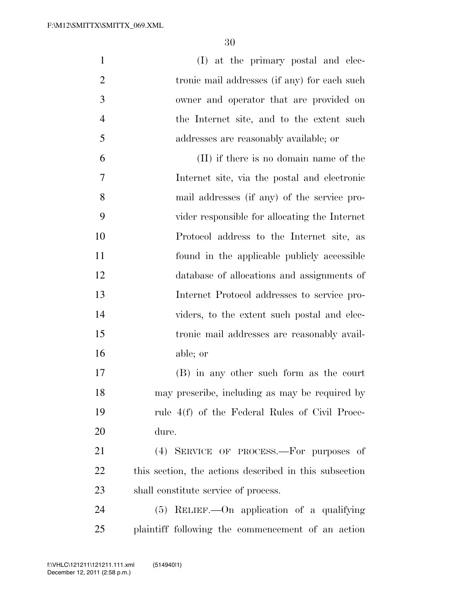| $\mathbf{1}$   | (I) at the primary postal and elec-                    |
|----------------|--------------------------------------------------------|
| $\overline{2}$ | tronic mail addresses (if any) for each such           |
| 3              | owner and operator that are provided on                |
| $\overline{4}$ | the Internet site, and to the extent such              |
| 5              | addresses are reasonably available; or                 |
| 6              | (II) if there is no domain name of the                 |
| 7              | Internet site, via the postal and electronic           |
| 8              | mail addresses (if any) of the service pro-            |
| 9              | vider responsible for allocating the Internet          |
| 10             | Protocol address to the Internet site, as              |
| 11             | found in the applicable publicly accessible            |
| 12             | database of allocations and assignments of             |
| 13             | Internet Protocol addresses to service pro-            |
| 14             | viders, to the extent such postal and elec-            |
| 15             | tronic mail addresses are reasonably avail-            |
| 16             | able; or                                               |
| 17             | (B) in any other such form as the court                |
| 18             | may prescribe, including as may be required by         |
| 19             | rule 4(f) of the Federal Rules of Civil Proce-         |
| 20             | dure.                                                  |
| 21             | (4) SERVICE OF PROCESS.—For purposes of                |
| 22             | this section, the actions described in this subsection |
| 23             | shall constitute service of process.                   |
| 24             | (5) RELIEF. - On application of a qualifying           |
| 25             | plaintiff following the commencement of an action      |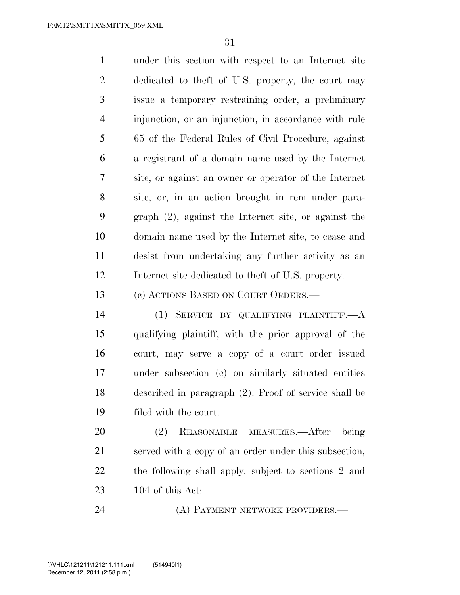under this section with respect to an Internet site dedicated to theft of U.S. property, the court may issue a temporary restraining order, a preliminary injunction, or an injunction, in accordance with rule 65 of the Federal Rules of Civil Procedure, against a registrant of a domain name used by the Internet site, or against an owner or operator of the Internet site, or, in an action brought in rem under para- graph (2), against the Internet site, or against the domain name used by the Internet site, to cease and desist from undertaking any further activity as an Internet site dedicated to theft of U.S. property.

(c) ACTIONS BASED ON COURT ORDERS.—

 (1) SERVICE BY QUALIFYING PLAINTIFF.—A qualifying plaintiff, with the prior approval of the court, may serve a copy of a court order issued under subsection (c) on similarly situated entities described in paragraph (2). Proof of service shall be filed with the court.

 (2) REASONABLE MEASURES.—After being served with a copy of an order under this subsection, the following shall apply, subject to sections 2 and 104 of this Act:

24 (A) PAYMENT NETWORK PROVIDERS.—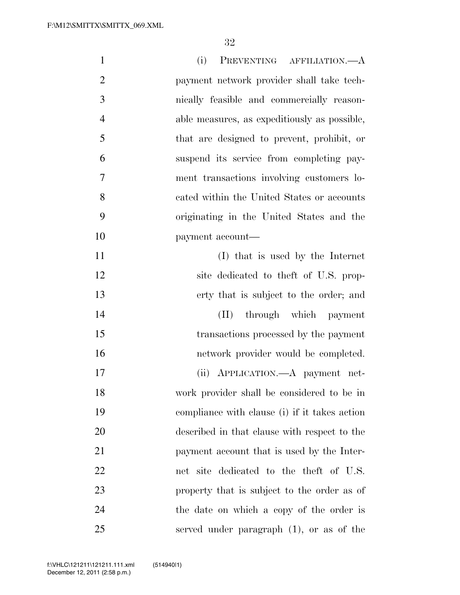| $\mathbf{1}$   | (i)<br>PREVENTING AFFILIATION.—A              |
|----------------|-----------------------------------------------|
| $\overline{2}$ | payment network provider shall take tech-     |
| 3              | nically feasible and commercially reason-     |
| $\overline{4}$ | able measures, as expeditiously as possible,  |
| 5              | that are designed to prevent, prohibit, or    |
| 6              | suspend its service from completing pay-      |
| 7              | ment transactions involving customers lo-     |
| 8              | cated within the United States or accounts    |
| 9              | originating in the United States and the      |
| 10             | payment account—                              |
| 11             | (I) that is used by the Internet              |
| 12             | site dedicated to the ft of U.S. prop-        |
| 13             | erty that is subject to the order; and        |
| 14             | (II) through which payment                    |
| 15             | transactions processed by the payment         |
| 16             | network provider would be completed.          |
| 17             | (ii) APPLICATION.—A payment net-              |
| 18             | work provider shall be considered to be in    |
| 19             | compliance with clause (i) if it takes action |
| 20             | described in that clause with respect to the  |
| 21             | payment account that is used by the Inter-    |
| 22             | net site dedicated to the theft of U.S.       |
| 23             | property that is subject to the order as of   |
| 24             | the date on which a copy of the order is      |
| 25             | served under paragraph $(1)$ , or as of the   |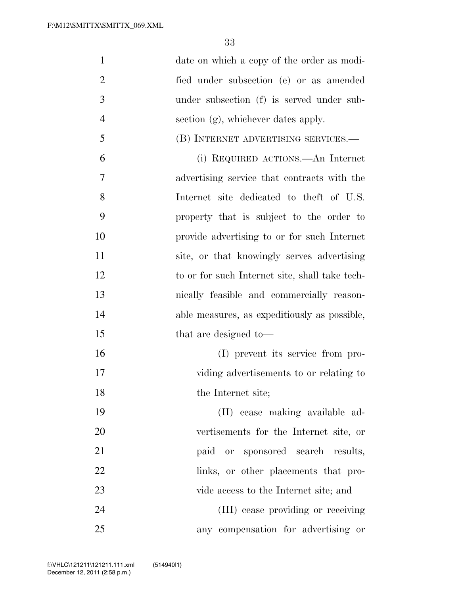| $\mathbf{1}$   | date on which a copy of the order as modi-     |
|----------------|------------------------------------------------|
| $\overline{2}$ | fied under subsection (e) or as amended        |
| 3              | under subsection (f) is served under sub-      |
| $\overline{4}$ | section (g), whichever dates apply.            |
| 5              | (B) INTERNET ADVERTISING SERVICES.—            |
| 6              | (i) REQUIRED ACTIONS.—An Internet              |
| 7              | advertising service that contracts with the    |
| 8              | Internet site dedicated to theft of U.S.       |
| 9              | property that is subject to the order to       |
| 10             | provide advertising to or for such Internet    |
| 11             | site, or that knowingly serves advertising     |
| 12             | to or for such Internet site, shall take tech- |
| 13             | nically feasible and commercially reason-      |
| 14             | able measures, as expeditiously as possible,   |
| 15             | that are designed to-                          |
| 16             | (I) prevent its service from pro-              |
| 17             | viding advertisements to or relating to        |
| 18             | the Internet site;                             |
| 19             | (II) cease making available ad-                |
| 20             | vertisements for the Internet site, or         |
| 21             | paid or sponsored search results,              |
| 22             | links, or other placements that pro-           |
| 23             | vide access to the Internet site; and          |
| 24             | (III) cease providing or receiving             |
| 25             | any compensation for advertising or            |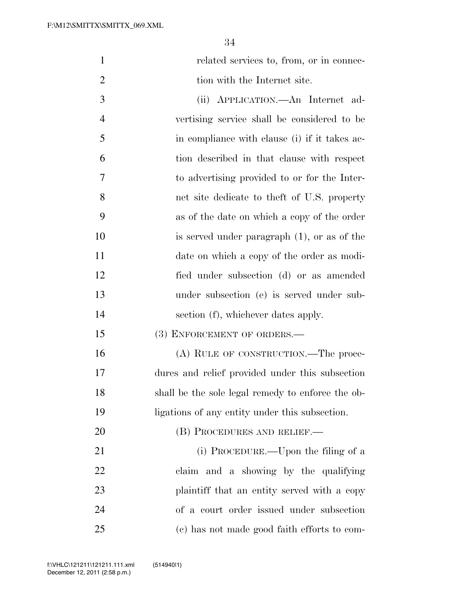1 related services to, from, or in connec-2 tion with the Internet site.

 (ii) APPLICATION.—An Internet ad- vertising service shall be considered to be in compliance with clause (i) if it takes ac- tion described in that clause with respect to advertising provided to or for the Inter- net site dedicate to theft of U.S. property as of the date on which a copy of the order is served under paragraph (1), or as of the date on which a copy of the order as modi- fied under subsection (d) or as amended under subsection (e) is served under sub-14 section (f), whichever dates apply.

### 15 (3) ENFORCEMENT OF ORDERS.—

 (A) RULE OF CONSTRUCTION.—The proce- dures and relief provided under this subsection shall be the sole legal remedy to enforce the ob-ligations of any entity under this subsection.

20 (B) PROCEDURES AND RELIEF.— 21 (i) PROCEDURE.—Upon the filing of a claim and a showing by the qualifying 23 plaintiff that an entity served with a copy of a court order issued under subsection (c) has not made good faith efforts to com-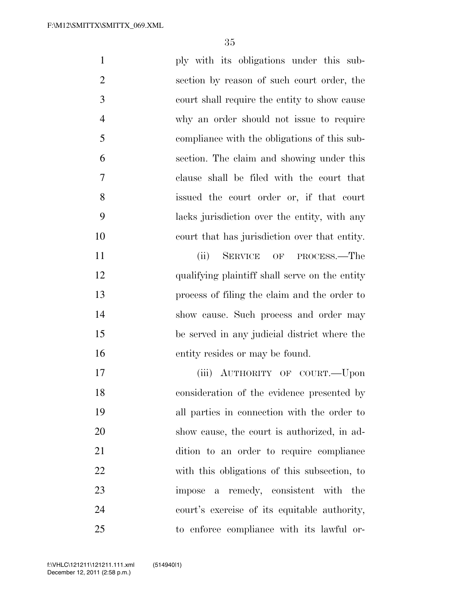| $\mathbf{1}$   | ply with its obligations under this sub-       |
|----------------|------------------------------------------------|
| $\overline{2}$ | section by reason of such court order, the     |
| 3              | court shall require the entity to show cause   |
| $\overline{4}$ | why an order should not issue to require       |
| 5              | compliance with the obligations of this sub-   |
| 6              | section. The claim and showing under this      |
| 7              | clause shall be filed with the court that      |
| 8              | issued the court order or, if that court       |
| 9              | lacks jurisdiction over the entity, with any   |
| 10             | court that has jurisdiction over that entity.  |
| 11             | SERVICE OF<br>(ii)<br>PROCESS.—The             |
| 12             | qualifying plaintiff shall serve on the entity |
| 13             | process of filing the claim and the order to   |
| 14             | show cause. Such process and order may         |
| 15             | be served in any judicial district where the   |
| 16             | entity resides or may be found.                |
| 17             | (iii) AUTHORITY OF COURT.-Upon                 |
| 18             | consideration of the evidence presented by     |
| 19             | all parties in connection with the order to    |
| 20             | show cause, the court is authorized, in ad-    |
| 21             | dition to an order to require compliance       |
| 22             | with this obligations of this subsection, to   |
| 23             | impose a remedy, consistent with<br>the        |
| 24             | court's exercise of its equitable authority,   |
| 25             | to enforce compliance with its lawful or-      |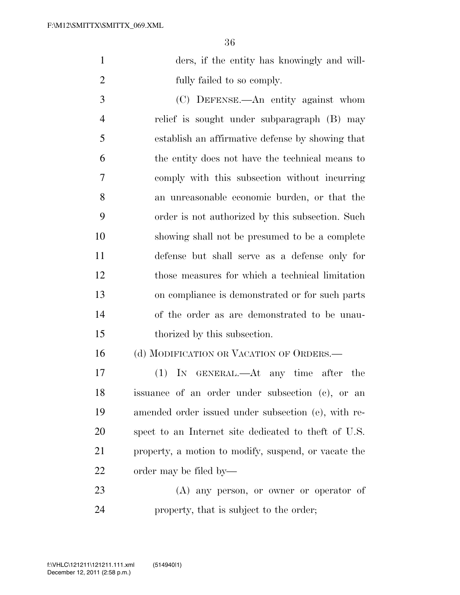| ders, if the entity has knowingly and will- |
|---------------------------------------------|
| fully failed to so comply.                  |

 (C) DEFENSE.—An entity against whom relief is sought under subparagraph (B) may establish an affirmative defense by showing that the entity does not have the technical means to comply with this subsection without incurring an unreasonable economic burden, or that the order is not authorized by this subsection. Such showing shall not be presumed to be a complete defense but shall serve as a defense only for those measures for which a technical limitation on compliance is demonstrated or for such parts of the order as are demonstrated to be unau-thorized by this subsection.

### 16 (d) MODIFICATION OR VACATION OF ORDERS.—

 (1) IN GENERAL.—At any time after the issuance of an order under subsection (c), or an amended order issued under subsection (e), with re- spect to an Internet site dedicated to theft of U.S. property, a motion to modify, suspend, or vacate the order may be filed by—

 (A) any person, or owner or operator of property, that is subject to the order;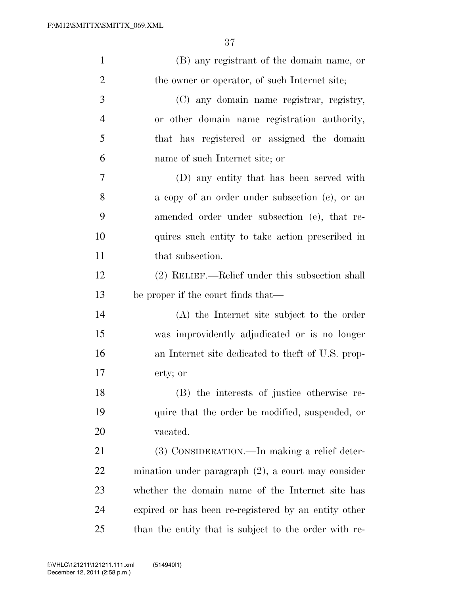| $\mathbf{1}$   | (B) any registrant of the domain name, or             |
|----------------|-------------------------------------------------------|
| $\overline{2}$ | the owner or operator, of such Internet site;         |
| 3              | (C) any domain name registrar, registry,              |
| $\overline{4}$ | or other domain name registration authority,          |
| 5              | that has registered or assigned the domain            |
| 6              | name of such Internet site; or                        |
| 7              | (D) any entity that has been served with              |
| 8              | a copy of an order under subsection (c), or an        |
| 9              | amended order under subsection (e), that re-          |
| 10             | quires such entity to take action prescribed in       |
| 11             | that subsection.                                      |
| 12             | (2) RELIEF.—Relief under this subsection shall        |
| 13             | be proper if the court finds that—                    |
| 14             | (A) the Internet site subject to the order            |
| 15             | was improvidently adjudicated or is no longer         |
| 16             | an Internet site dedicated to the ft of U.S. prop-    |
| 17             | erty; or                                              |
| 18             | (B) the interests of justice otherwise re-            |
| 19             | quire that the order be modified, suspended, or       |
| 20             | vacated.                                              |
| 21             | (3) CONSIDERATION.—In making a relief deter-          |
| 22             | mination under paragraph $(2)$ , a court may consider |
| 23             | whether the domain name of the Internet site has      |
| 24             | expired or has been re-registered by an entity other  |
| 25             | than the entity that is subject to the order with re- |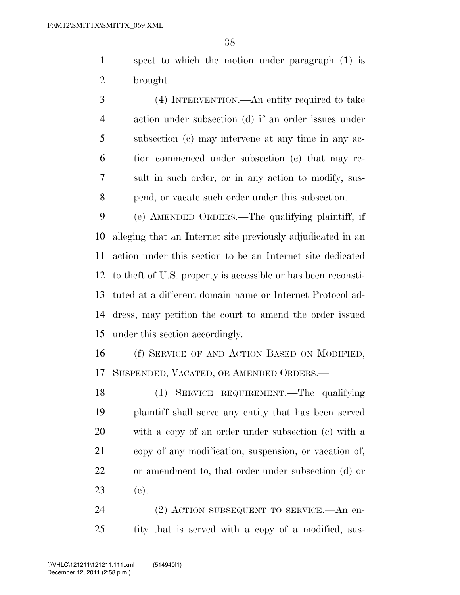spect to which the motion under paragraph (1) is brought.

 (4) INTERVENTION.—An entity required to take action under subsection (d) if an order issues under subsection (c) may intervene at any time in any ac- tion commenced under subsection (c) that may re- sult in such order, or in any action to modify, sus-pend, or vacate such order under this subsection.

 (e) AMENDED ORDERS.—The qualifying plaintiff, if alleging that an Internet site previously adjudicated in an action under this section to be an Internet site dedicated to theft of U.S. property is accessible or has been reconsti- tuted at a different domain name or Internet Protocol ad- dress, may petition the court to amend the order issued under this section accordingly.

 (f) SERVICE OF AND ACTION BASED ON MODIFIED, SUSPENDED, VACATED, OR AMENDED ORDERS.—

 (1) SERVICE REQUIREMENT.—The qualifying plaintiff shall serve any entity that has been served with a copy of an order under subsection (c) with a copy of any modification, suspension, or vacation of, or amendment to, that order under subsection (d) or (e).

 (2) ACTION SUBSEQUENT TO SERVICE.—An en-tity that is served with a copy of a modified, sus-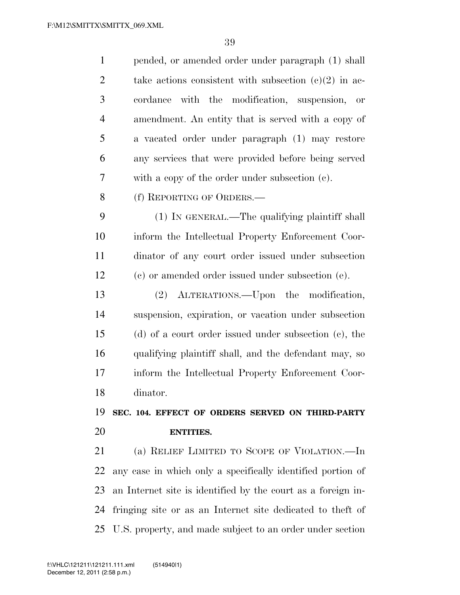| $\mathbf{1}$   | pended, or amended order under paragraph (1) shall           |
|----------------|--------------------------------------------------------------|
| $\overline{2}$ | take actions consistent with subsection $(c)(2)$ in ac-      |
| 3              | cordance with the modification, suspension,<br>or            |
| $\overline{4}$ | amendment. An entity that is served with a copy of           |
| 5              | a vacated order under paragraph (1) may restore              |
| 6              | any services that were provided before being served          |
| 7              | with a copy of the order under subsection $(c)$ .            |
| 8              | (f) REPORTING OF ORDERS.—                                    |
| 9              | (1) IN GENERAL.—The qualifying plaintiff shall               |
| 10             | inform the Intellectual Property Enforcement Coor-           |
| 11             | dinator of any court order issued under subsection           |
| 12             | (c) or amended order issued under subsection (e).            |
| 13             | (2) ALTERATIONS.—Upon the modification,                      |
| 14             | suspension, expiration, or vacation under subsection         |
| 15             | $(d)$ of a court order issued under subsection $(e)$ , the   |
|                |                                                              |
| 16             | qualifying plaintiff shall, and the defendant may, so        |
| 17             | inform the Intellectual Property Enforcement Coor-           |
| 18             | dinator.                                                     |
| 19             | SEC. 104. EFFECT OF ORDERS SERVED ON THIRD-PARTY             |
| 20             | <b>ENTITIES.</b>                                             |
| 21             | (a) RELIEF LIMITED TO SCOPE OF VIOLATION.—In                 |
| 22             | any case in which only a specifically identified portion of  |
| 23             | an Internet site is identified by the court as a foreign in- |
| 24             | fringing site or as an Internet site dedicated to theft of   |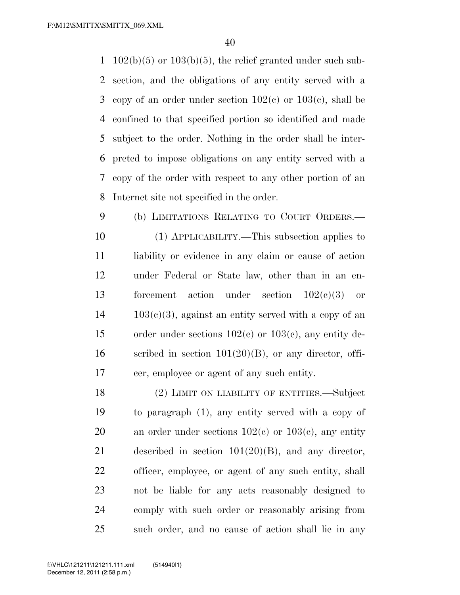$102(b)(5)$  or  $103(b)(5)$ , the relief granted under such sub- section, and the obligations of any entity served with a 3 copy of an order under section  $102(c)$  or  $103(c)$ , shall be confined to that specified portion so identified and made subject to the order. Nothing in the order shall be inter- preted to impose obligations on any entity served with a copy of the order with respect to any other portion of an Internet site not specified in the order.

 (b) LIMITATIONS RELATING TO COURT ORDERS.— (1) APPLICABILITY.—This subsection applies to 11 liability or evidence in any claim or cause of action under Federal or State law, other than in an en- forcement action under section 102(c)(3) or  $14 \qquad 103(c)(3)$ , against an entity served with a copy of an order under sections 102(c) or 103(c), any entity de-16 scribed in section  $101(20)(B)$ , or any director, offi-cer, employee or agent of any such entity.

 (2) LIMIT ON LIABILITY OF ENTITIES.—Subject to paragraph (1), any entity served with a copy of 20 an order under sections  $102(c)$  or  $103(c)$ , any entity described in section 101(20)(B), and any director, officer, employee, or agent of any such entity, shall not be liable for any acts reasonably designed to comply with such order or reasonably arising from such order, and no cause of action shall lie in any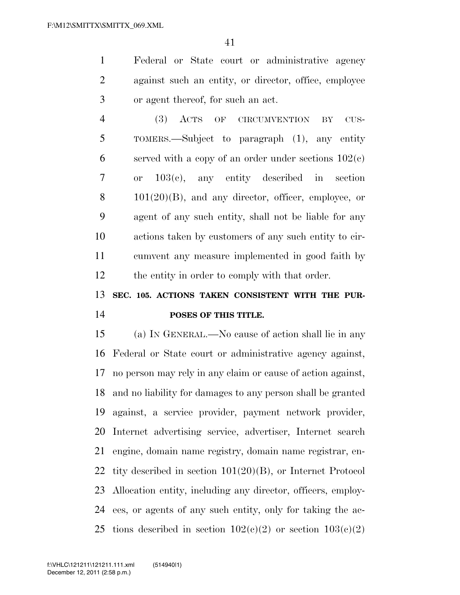Federal or State court or administrative agency against such an entity, or director, office, employee or agent thereof, for such an act.

 (3) ACTS OF CIRCUMVENTION BY CUS- TOMERS.—Subject to paragraph (1), any entity 6 served with a copy of an order under sections  $102(c)$  or 103(c), any entity described in section  $8 \t 101(20)(B)$ , and any director, officer, employee, or agent of any such entity, shall not be liable for any actions taken by customers of any such entity to cir- cumvent any measure implemented in good faith by the entity in order to comply with that order.

## **SEC. 105. ACTIONS TAKEN CONSISTENT WITH THE PUR-POSES OF THIS TITLE.**

 (a) IN GENERAL.—No cause of action shall lie in any Federal or State court or administrative agency against, no person may rely in any claim or cause of action against, and no liability for damages to any person shall be granted against, a service provider, payment network provider, Internet advertising service, advertiser, Internet search engine, domain name registry, domain name registrar, en- tity described in section 101(20)(B), or Internet Protocol Allocation entity, including any director, officers, employ- ees, or agents of any such entity, only for taking the ac-25 tions described in section  $102(c)(2)$  or section  $103(c)(2)$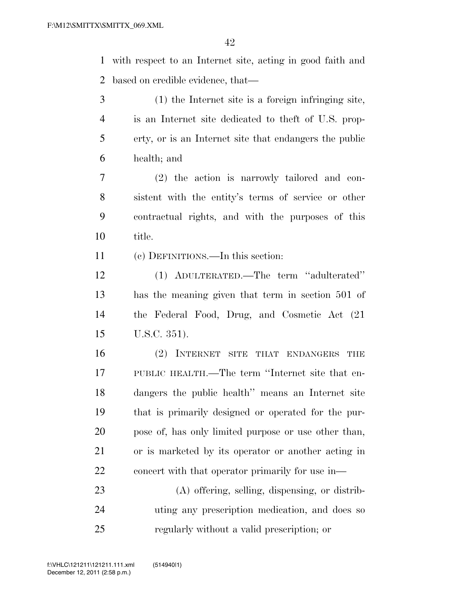with respect to an Internet site, acting in good faith and based on credible evidence, that—

- (1) the Internet site is a foreign infringing site, is an Internet site dedicated to theft of U.S. prop- erty, or is an Internet site that endangers the public health; and
- (2) the action is narrowly tailored and con- sistent with the entity's terms of service or other contractual rights, and with the purposes of this title.
- (c) DEFINITIONS.—In this section:
- (1) ADULTERATED.—The term ''adulterated'' has the meaning given that term in section 501 of the Federal Food, Drug, and Cosmetic Act (21 U.S.C. 351).
- (2) INTERNET SITE THAT ENDANGERS THE PUBLIC HEALTH.—The term ''Internet site that en- dangers the public health'' means an Internet site that is primarily designed or operated for the pur- pose of, has only limited purpose or use other than, or is marketed by its operator or another acting in concert with that operator primarily for use in—
- (A) offering, selling, dispensing, or distrib- uting any prescription medication, and does so regularly without a valid prescription; or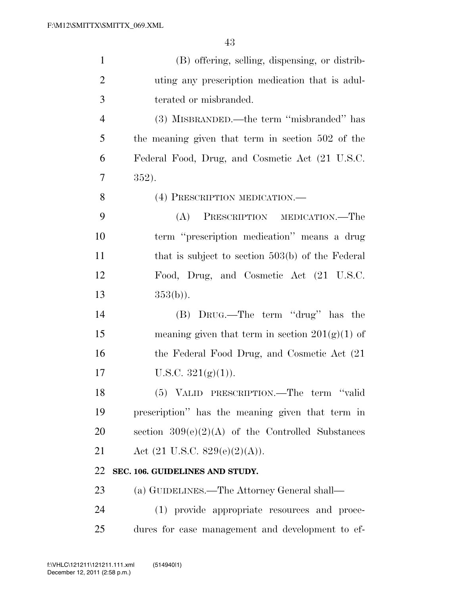| $\mathbf{1}$   | (B) offering, selling, dispensing, or distrib-      |
|----------------|-----------------------------------------------------|
| $\overline{2}$ | uting any prescription medication that is adul-     |
| 3              | terated or misbranded.                              |
| $\overline{4}$ | (3) MISBRANDED.—the term "misbranded" has           |
| 5              | the meaning given that term in section 502 of the   |
| 6              | Federal Food, Drug, and Cosmetic Act (21 U.S.C.     |
| 7              | 352).                                               |
| 8              | (4) PRESCRIPTION MEDICATION.—                       |
| 9              | PRESCRIPTION MEDICATION.—The<br>(A)                 |
| 10             | term "prescription medication" means a drug         |
| 11             | that is subject to section $503(b)$ of the Federal  |
| 12             | Food, Drug, and Cosmetic Act (21 U.S.C.             |
| 13             | $353(b)$ ).                                         |
| 14             | (B) DRUG.—The term "drug" has the                   |
| 15             | meaning given that term in section $201(g)(1)$ of   |
| 16             | the Federal Food Drug, and Cosmetic Act (21)        |
| 17             | U.S.C. $321(g)(1)$ ).                               |
| 18             | (5) VALID PRESCRIPTION.—The term "valid             |
| 19             | prescription" has the meaning given that term in    |
| 20             | section $309(e)(2)(A)$ of the Controlled Substances |
| 21             | Act $(21 \text{ U.S.C. } 829(e)(2)(A)).$            |
| 22             | SEC. 106. GUIDELINES AND STUDY.                     |
| 23             | (a) GUIDELINES.—The Attorney General shall—         |
| 24             | (1) provide appropriate resources and proce-        |
| 25             | dures for case management and development to ef-    |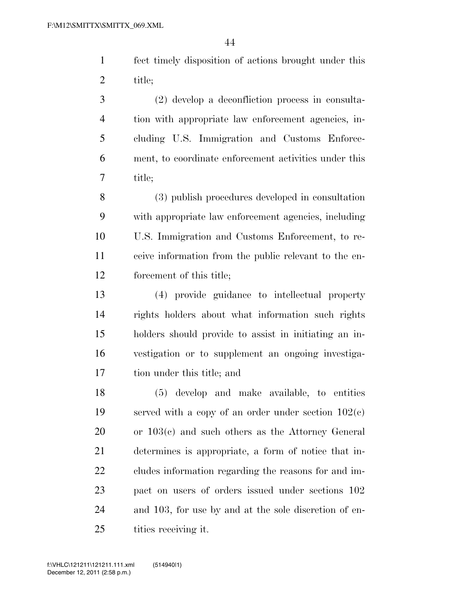fect timely disposition of actions brought under this title;

 (2) develop a deconfliction process in consulta- tion with appropriate law enforcement agencies, in- cluding U.S. Immigration and Customs Enforce- ment, to coordinate enforcement activities under this title;

 (3) publish procedures developed in consultation with appropriate law enforcement agencies, including U.S. Immigration and Customs Enforcement, to re- ceive information from the public relevant to the en-forcement of this title;

 (4) provide guidance to intellectual property rights holders about what information such rights holders should provide to assist in initiating an in- vestigation or to supplement an ongoing investiga-tion under this title; and

 (5) develop and make available, to entities served with a copy of an order under section 102(c) or 103(c) and such others as the Attorney General determines is appropriate, a form of notice that in- cludes information regarding the reasons for and im- pact on users of orders issued under sections 102 and 103, for use by and at the sole discretion of en-25 tities receiving it.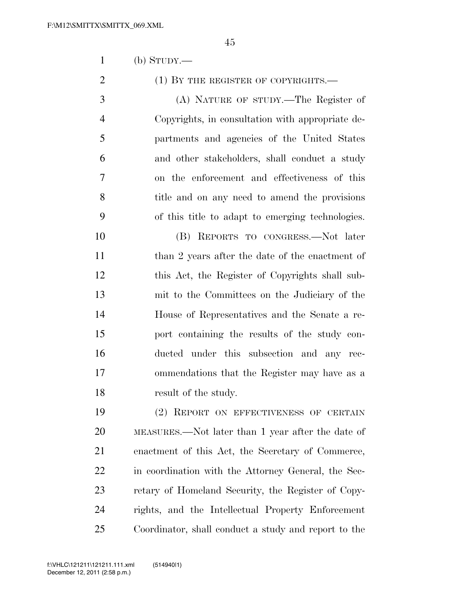(b) STUDY.—

2 (1) BY THE REGISTER OF COPYRIGHTS.—

 (A) NATURE OF STUDY.—The Register of Copyrights, in consultation with appropriate de- partments and agencies of the United States and other stakeholders, shall conduct a study on the enforcement and effectiveness of this title and on any need to amend the provisions of this title to adapt to emerging technologies.

 (B) REPORTS TO CONGRESS.—Not later 11 than 2 years after the date of the enactment of this Act, the Register of Copyrights shall sub- mit to the Committees on the Judiciary of the House of Representatives and the Senate a re- port containing the results of the study con- ducted under this subsection and any rec- ommendations that the Register may have as a 18 result of the study.

 (2) REPORT ON EFFECTIVENESS OF CERTAIN MEASURES.—Not later than 1 year after the date of enactment of this Act, the Secretary of Commerce, in coordination with the Attorney General, the Sec- retary of Homeland Security, the Register of Copy- rights, and the Intellectual Property Enforcement Coordinator, shall conduct a study and report to the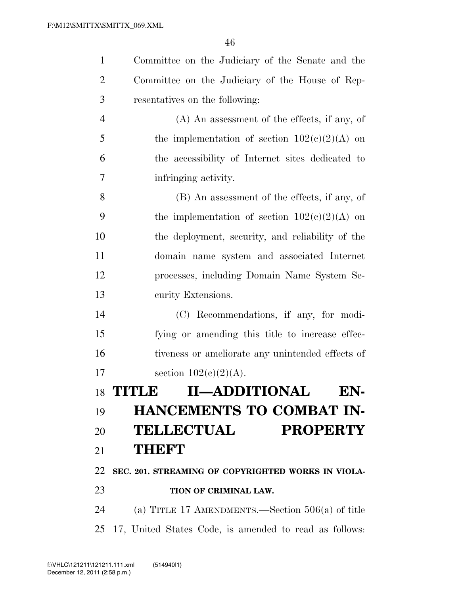| $\mathbf{1}$   | Committee on the Judiciary of the Senate and the       |
|----------------|--------------------------------------------------------|
| $\overline{2}$ | Committee on the Judiciary of the House of Rep-        |
| 3              | resentatives on the following:                         |
| $\overline{4}$ | $(A)$ An assessment of the effects, if any, of         |
| 5              | the implementation of section $102(e)(2)(A)$ on        |
| 6              | the accessibility of Internet sites dedicated to       |
| 7              | infringing activity.                                   |
| 8              | (B) An assessment of the effects, if any, of           |
| 9              | the implementation of section $102(c)(2)(A)$ on        |
| 10             | the deployment, security, and reliability of the       |
| 11             | domain name system and associated Internet             |
| 12             | processes, including Domain Name System Se-            |
| 13             | curity Extensions.                                     |
| 14             | (C) Recommendations, if any, for modi-                 |
| 15             | fying or amending this title to increase effec-        |
| 16             | tiveness or ameliorate any unintended effects of       |
| 17             | section $102(c)(2)(A)$ .                               |
|                | <b>II-ADDITIONAL</b><br>18 TITLE<br>EN-                |
| 19             | <b>HANCEMENTS TO COMBAT IN-</b>                        |
| 20             | <b>TELLECTUAL</b><br><b>PROPERTY</b>                   |
| 21             | THEFT                                                  |
| 22             | SEC. 201. STREAMING OF COPYRIGHTED WORKS IN VIOLA-     |
| 23             | TION OF CRIMINAL LAW.                                  |
| 24             | (a) TITLE 17 AMENDMENTS.—Section $506(a)$ of title     |
| 25             | 17, United States Code, is amended to read as follows: |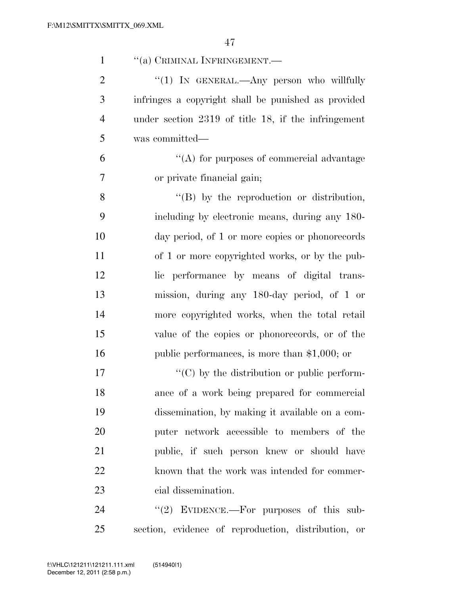| $\mathbf{1}$   | "(a) CRIMINAL INFRINGEMENT.-                        |
|----------------|-----------------------------------------------------|
| $\overline{2}$ | "(1) IN GENERAL.—Any person who willfully           |
| 3              | infringes a copyright shall be punished as provided |
| $\overline{4}$ | under section 2319 of title 18, if the infringement |
| 5              | was committed—                                      |
| 6              | "(A) for purposes of commercial advantage           |
| $\overline{7}$ | or private financial gain;                          |
| 8              | "(B) by the reproduction or distribution,           |
| 9              | including by electronic means, during any 180-      |
| 10             | day period, of 1 or more copies or phonorecords     |
| 11             | of 1 or more copyrighted works, or by the pub-      |
| 12             | lic performance by means of digital trans-          |
| 13             | mission, during any 180-day period, of 1 or         |
| 14             | more copyrighted works, when the total retail       |
| 15             | value of the copies or phonorecords, or of the      |
| 16             | public performances, is more than $$1,000$ ; or     |
| 17             | "(C) by the distribution or public perform-         |
| 18             | ance of a work being prepared for commercial        |
| 19             | dissemination, by making it available on a com-     |
| 20             | puter network accessible to members of the          |
| 21             | public, if such person knew or should have          |
| 22             | known that the work was intended for commer-        |
| 23             | cial dissemination.                                 |
| 24             | "(2) EVIDENCE.—For purposes of this sub-            |
|                |                                                     |

section, evidence of reproduction, distribution, or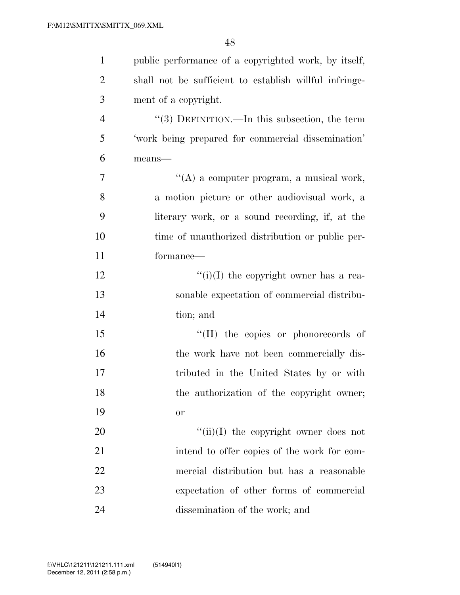| $\mathbf{1}$   | public performance of a copyrighted work, by itself,   |
|----------------|--------------------------------------------------------|
| $\overline{2}$ | shall not be sufficient to establish willful infringe- |
| 3              | ment of a copyright.                                   |
| $\overline{4}$ | "(3) DEFINITION.—In this subsection, the term          |
| 5              | 'work being prepared for commercial dissemination'     |
| 6              | means-                                                 |
| 7              | $\lq\lq$ a computer program, a musical work,           |
| 8              | a motion picture or other audiovisual work, a          |
| 9              | literary work, or a sound recording, if, at the        |
| 10             | time of unauthorized distribution or public per-       |
| 11             | formance—                                              |
| 12             | $``(i)(I)$ the copyright owner has a rea-              |
| 13             | sonable expectation of commercial distribu-            |
| 14             | tion; and                                              |
| 15             | "(II) the copies or phonorecords of                    |
| 16             | the work have not been commercially dis-               |
| 17             | tributed in the United States by or with               |
| 18             | the authorization of the copyright owner;              |
| 19             | <b>or</b>                                              |
| 20             | $\lq\lq$ (ii)(I) the copyright owner does not          |
| 21             | intend to offer copies of the work for com-            |
| 22             | mercial distribution but has a reasonable              |
| 23             | expectation of other forms of commercial               |
| 24             | dissemination of the work; and                         |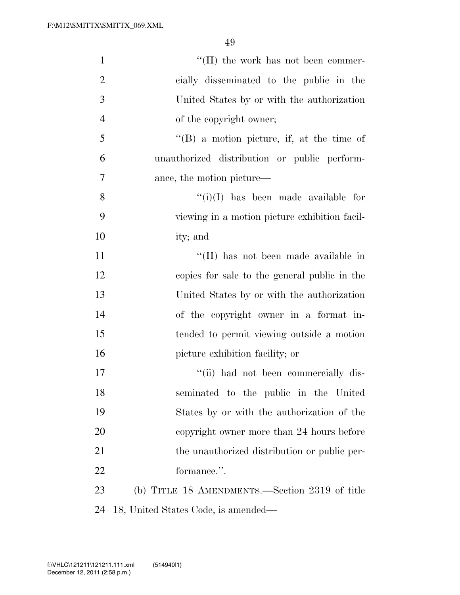| $\mathbf{1}$   | $\lq\lq$ (II) the work has not been commer-       |
|----------------|---------------------------------------------------|
| $\overline{2}$ | cially disseminated to the public in the          |
| 3              | United States by or with the authorization        |
| $\overline{4}$ | of the copyright owner;                           |
| 5              | $\lq\lq (B)$ a motion picture, if, at the time of |
| 6              | unauthorized distribution or public perform-      |
| 7              | ance, the motion picture—                         |
| 8              | $\lq\lq(i)(I)$ has been made available for        |
| 9              | viewing in a motion picture exhibition facil-     |
| 10             | ity; and                                          |
| 11             | "(II) has not been made available in              |
| 12             | copies for sale to the general public in the      |
| 13             | United States by or with the authorization        |
| 14             | of the copyright owner in a format in-            |
| 15             | tended to permit viewing outside a motion         |
| 16             | picture exhibition facility; or                   |
| 17             | "(ii) had not been commercially dis-              |
| 18             | seminated to the public in the United             |
| 19             | States by or with the authorization of the        |
| 20             | copyright owner more than 24 hours before         |
| 21             | the unauthorized distribution or public per-      |
| 22             | formance.".                                       |
| 23             | (b) TITLE 18 AMENDMENTS.—Section 2319 of title    |
| 24             | 18, United States Code, is amended—               |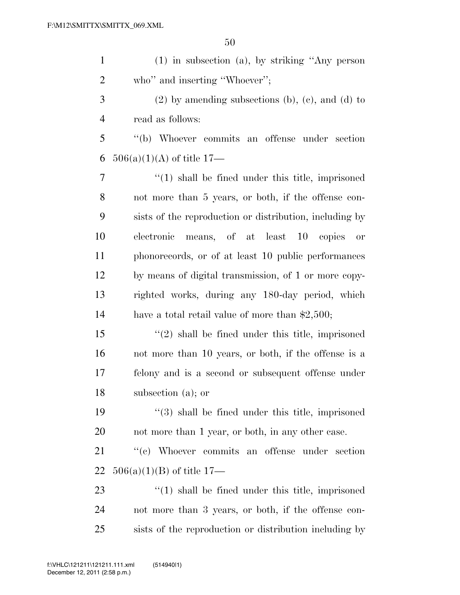| $\mathbf{1}$   | $(1)$ in subsection $(a)$ , by striking "Any person     |
|----------------|---------------------------------------------------------|
| $\overline{2}$ | who" and inserting "Whoever";                           |
| 3              | $(2)$ by amending subsections (b), (c), and (d) to      |
| $\overline{4}$ | read as follows:                                        |
| 5              | "(b) Whoever commits an offense under section           |
| 6              | $506(a)(1)(A)$ of title 17—                             |
| $\tau$         | $\lq(1)$ shall be fined under this title, imprisoned    |
| 8              | not more than 5 years, or both, if the offense con-     |
| 9              | sists of the reproduction or distribution, including by |
| 10             | means, of at least 10 copies<br>electronic<br>or        |
| 11             | phonorecords, or of at least 10 public performances     |
| 12             | by means of digital transmission, of 1 or more copy-    |
| 13             | righted works, during any 180-day period, which         |
| 14             | have a total retail value of more than $\$2,500;$       |
| 15             | $f'(2)$ shall be fined under this title, imprisoned     |
| 16             | not more than 10 years, or both, if the offense is a    |
| 17             | felony and is a second or subsequent offense under      |
| 18             | subsection (a); or                                      |
| 19             | "(3) shall be fined under this title, imprisoned        |
| 20             | not more than 1 year, or both, in any other case.       |
| 21             | "(c) Whoever commits an offense under section           |
| 22             | $506(a)(1)(B)$ of title 17—                             |
| 23             | $\lq(1)$ shall be fined under this title, imprisoned    |
| 24             | not more than 3 years, or both, if the offense con-     |
| 25             | sists of the reproduction or distribution including by  |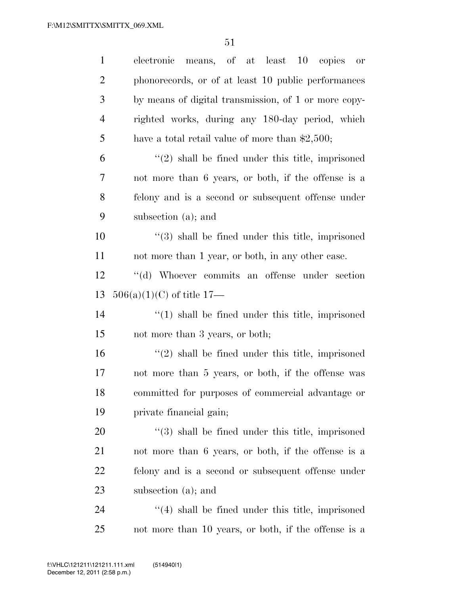| $\mathbf{1}$   | means, of at least 10 copies<br>electronic<br><b>or</b> |
|----------------|---------------------------------------------------------|
| $\overline{2}$ | phonorecords, or of at least 10 public performances     |
| 3              | by means of digital transmission, of 1 or more copy-    |
| $\overline{4}$ | righted works, during any 180-day period, which         |
| 5              | have a total retail value of more than $\$2,500;$       |
| 6              | $\lq(2)$ shall be fined under this title, imprisoned    |
| 7              | not more than 6 years, or both, if the offense is a     |
| 8              | felony and is a second or subsequent offense under      |
| 9              | subsection (a); and                                     |
| 10             | $\lq(3)$ shall be fined under this title, imprisoned    |
| 11             | not more than 1 year, or both, in any other case.       |
| 12             | "(d) Whoever commits an offense under section           |
| 13             | $506(a)(1)(C)$ of title 17—                             |
| 14             | $\lq(1)$ shall be fined under this title, imprisoned    |
| 15             | not more than 3 years, or both;                         |
| 16             | $\lq(2)$ shall be fined under this title, imprisoned    |
| 17             | not more than 5 years, or both, if the offense was      |
| 18             | committed for purposes of commercial advantage or       |
| 19             | private financial gain;                                 |
| 20             | $(3)$ shall be fined under this title, imprisoned       |
| 21             | not more than 6 years, or both, if the offense is a     |
| 22             | felony and is a second or subsequent offense under      |
| 23             | subsection (a); and                                     |
| 24             | $\cdot$ (4) shall be fined under this title, imprisoned |
| 25             | not more than 10 years, or both, if the offense is a    |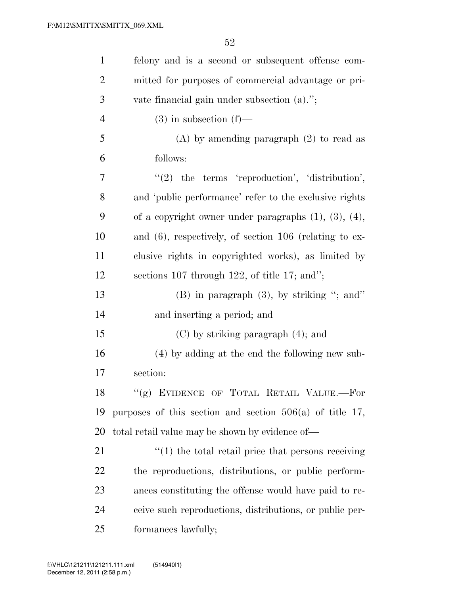| $\mathbf{1}$   | felony and is a second or subsequent offense com-                  |
|----------------|--------------------------------------------------------------------|
| $\overline{2}$ | mitted for purposes of commercial advantage or pri-                |
| 3              | vate financial gain under subsection $(a)$ .";                     |
| $\overline{4}$ | $(3)$ in subsection $(f)$ —                                        |
| 5              | $(A)$ by amending paragraph $(2)$ to read as                       |
| 6              | follows:                                                           |
| 7              | $"(2)$ the terms 'reproduction', 'distribution',                   |
| 8              | and 'public performance' refer to the exclusive rights             |
| 9              | of a copyright owner under paragraphs $(1)$ , $(3)$ , $(4)$ ,      |
| 10             | and $(6)$ , respectively, of section 106 (relating to ex-          |
| 11             | clusive rights in copyrighted works), as limited by                |
| 12             | sections 107 through 122, of title 17; and";                       |
| 13             | $(B)$ in paragraph $(3)$ , by striking "; and"                     |
| 14             | and inserting a period; and                                        |
| 15             | $(C)$ by striking paragraph $(4)$ ; and                            |
| 16             | (4) by adding at the end the following new sub-                    |
| 17             | section:                                                           |
| 18             | "(g) EVIDENCE OF TOTAL RETAIL VALUE.—For                           |
| 19             | purposes of this section and section $506(a)$ of title 17,         |
| 20             | total retail value may be shown by evidence of—                    |
| 21             | $\cdot\cdot\cdot(1)$ the total retail price that persons receiving |
| 22             | the reproductions, distributions, or public perform-               |
| 23             | ances constituting the offense would have paid to re-              |
| 24             | ceive such reproductions, distributions, or public per-            |
| 25             | formances lawfully;                                                |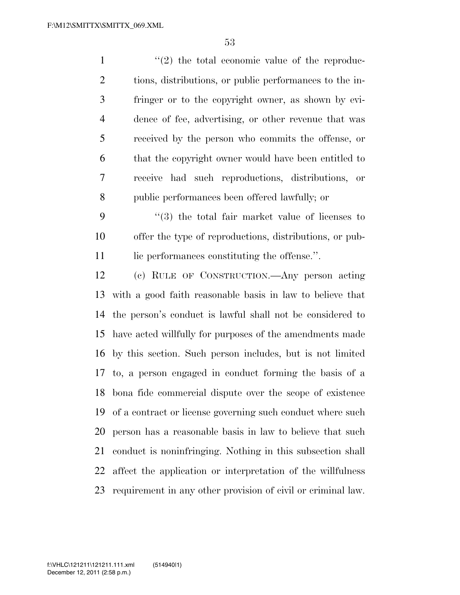$\mathcal{L}(2)$  the total economic value of the reproduc- tions, distributions, or public performances to the in- fringer or to the copyright owner, as shown by evi- dence of fee, advertising, or other revenue that was received by the person who commits the offense, or that the copyright owner would have been entitled to receive had such reproductions, distributions, or public performances been offered lawfully; or ''(3) the total fair market value of licenses to offer the type of reproductions, distributions, or pub-

11 lic performances constituting the offense.".

 (c) RULE OF CONSTRUCTION.—Any person acting with a good faith reasonable basis in law to believe that the person's conduct is lawful shall not be considered to have acted willfully for purposes of the amendments made by this section. Such person includes, but is not limited to, a person engaged in conduct forming the basis of a bona fide commercial dispute over the scope of existence of a contract or license governing such conduct where such person has a reasonable basis in law to believe that such conduct is noninfringing. Nothing in this subsection shall affect the application or interpretation of the willfulness requirement in any other provision of civil or criminal law.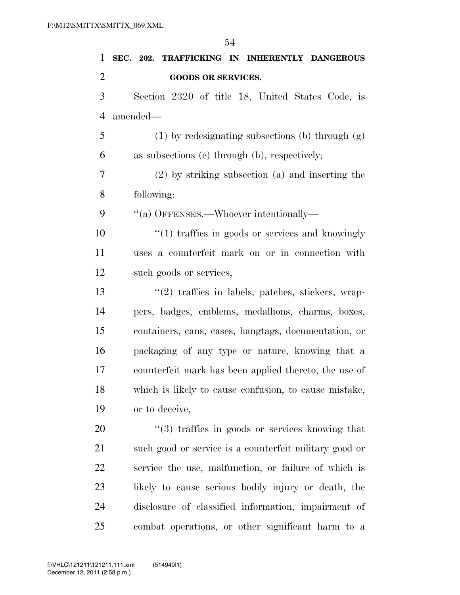**SEC. 202. TRAFFICKING IN INHERENTLY DANGEROUS GOODS OR SERVICES.**  Section 2320 of title 18, United States Code, is amended— 5 (1) by redesignating subsections (b) through  $(g)$  as subsections (c) through (h), respectively; (2) by striking subsection (a) and inserting the following: ''(a) OFFENSES.—Whoever intentionally— 10 ''(1) traffics in goods or services and knowingly uses a counterfeit mark on or in connection with such goods or services, ''(2) traffics in labels, patches, stickers, wrap- pers, badges, emblems, medallions, charms, boxes, containers, cans, cases, hangtags, documentation, or packaging of any type or nature, knowing that a counterfeit mark has been applied thereto, the use of which is likely to cause confusion, to cause mistake, or to deceive,

 $\frac{1}{2}$  (3) traffics in goods or services knowing that 21 such good or service is a counterfeit military good or service the use, malfunction, or failure of which is likely to cause serious bodily injury or death, the disclosure of classified information, impairment of combat operations, or other significant harm to a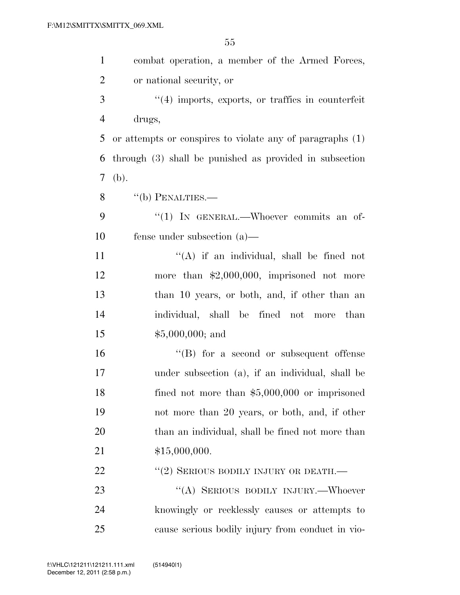| $\mathbf{1}$   | combat operation, a member of the Armed Forces,           |
|----------------|-----------------------------------------------------------|
| $\overline{2}$ | or national security, or                                  |
| 3              | $\lq(4)$ imports, exports, or traffics in counterfeit     |
| $\overline{4}$ | drugs,                                                    |
| 5              | or attempts or conspires to violate any of paragraphs (1) |
| 6              | through (3) shall be punished as provided in subsection   |
| 7              | (b).                                                      |
| 8              | $``$ (b) PENALTIES.—                                      |
| 9              | "(1) IN GENERAL.—Whoever commits an of-                   |
| 10             | fense under subsection $(a)$ —                            |
| 11             | "(A) if an individual, shall be fined not                 |
| 12             | more than $$2,000,000$ , imprisoned not more              |
| 13             | than 10 years, or both, and, if other than an             |
| 14             | individual, shall be fined not more than                  |
| 15             | $$5,000,000;$ and                                         |
| 16             | $\lq\lq (B)$ for a second or subsequent offense           |
| 17             | under subsection (a), if an individual, shall be          |
| 18             | fined not more than $$5,000,000$ or imprisoned            |
| 19             | not more than 20 years, or both, and, if other            |
| 20             | than an individual, shall be fined not more than          |
| 21             | \$15,000,000.                                             |
| 22             | $``(2)$ SERIOUS BODILY INJURY OR DEATH.—                  |
| 23             | "(A) SERIOUS BODILY INJURY.—Whoever                       |
| 24             | knowingly or recklessly causes or attempts to             |
| 25             | cause serious bodily injury from conduct in vio-          |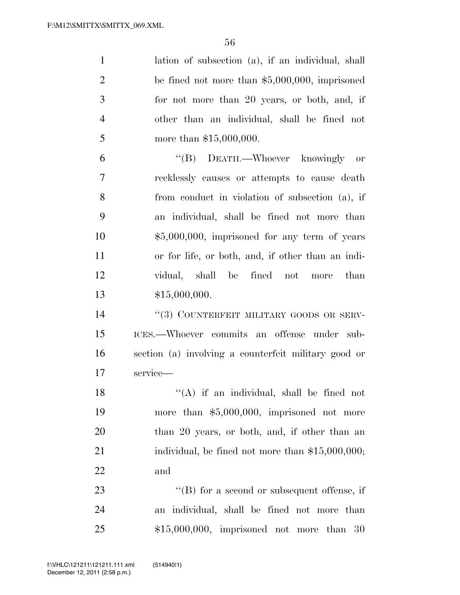| $\mathbf{1}$   | lation of subsection (a), if an individual, shall    |
|----------------|------------------------------------------------------|
| $\overline{2}$ | be fined not more than $$5,000,000$ , imprisoned     |
| 3              | for not more than 20 years, or both, and, if         |
| $\overline{4}$ | other than an individual, shall be fined not         |
| 5              | more than $$15,000,000$ .                            |
| 6              | "(B) DEATH.—Whoever knowingly or                     |
| 7              | recklessly causes or attempts to cause death         |
| 8              | from conduct in violation of subsection (a), if      |
| 9              | an individual, shall be fined not more than          |
| 10             | $$5,000,000$ , imprisoned for any term of years      |
| 11             | or for life, or both, and, if other than an indi-    |
| 12             | vidual, shall be fined not more than                 |
| 13             | \$15,000,000.                                        |
| 14             | "(3) COUNTERFEIT MILITARY GOODS OR SERV-             |
| 15             | ICES.--Whoever commits an offense under sub-         |
| 16             | section (a) involving a counterfeit military good or |
| 17             | service-                                             |
| 18             | "(A) if an individual, shall be fined not            |
| 19             | more than $$5,000,000$ , imprisoned not more         |
| 20             | than 20 years, or both, and, if other than an        |
| 21             | individual, be fined not more than $$15,000,000;$    |
| 22             | and                                                  |
| 23             | $\lq\lq (B)$ for a second or subsequent offense, if  |
| 24             | an individual, shall be fined not more than          |
| 25             | $$15,000,000$ , imprisoned not more than<br>30       |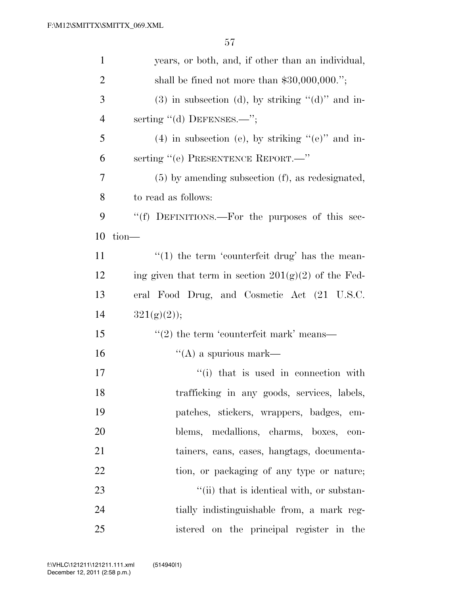| $\mathbf{1}$   | years, or both, and, if other than an individual,       |
|----------------|---------------------------------------------------------|
| $\overline{2}$ | shall be fined not more than $$30,000,000."$ ;          |
| 3              | $(3)$ in subsection (d), by striking " $(d)$ " and in-  |
| $\overline{4}$ | serting "(d) DEFENSES.—";                               |
| 5              | $(4)$ in subsection (e), by striking "(e)" and in-      |
| 6              | serting "(e) PRESENTENCE REPORT.—"                      |
| 7              | $(5)$ by amending subsection $(f)$ , as redesignated,   |
| 8              | to read as follows:                                     |
| 9              | "(f) DEFINITIONS.—For the purposes of this sec-         |
| 10             | tion-                                                   |
| 11             | $\lq(1)$ the term 'counterfeit drug' has the mean-      |
| 12             | ing given that term in section $201(g)(2)$ of the Fed-  |
| 13             | eral Food Drug, and Cosmetic Act (21 U.S.C.             |
| 14             | $321(g)(2)$ ;                                           |
| 15             | $\cdot\cdot\cdot(2)$ the term 'counterfeit mark' means— |
| 16             | $\lq\lq$ (A) a spurious mark—                           |
| 17             | "(i) that is used in connection with                    |
| 18             | trafficking in any goods, services, labels,             |
| 19             | patches, stickers, wrappers, badges, em-                |
| 20             | blems, medallions, charms, boxes, con-                  |
| 21             | tainers, cans, cases, hangtags, documenta-              |
| 22             | tion, or packaging of any type or nature;               |
| 23             | "(ii) that is identical with, or substan-               |
| 24             | tially indistinguishable from, a mark reg-              |
| 25             | istered on the principal register in the                |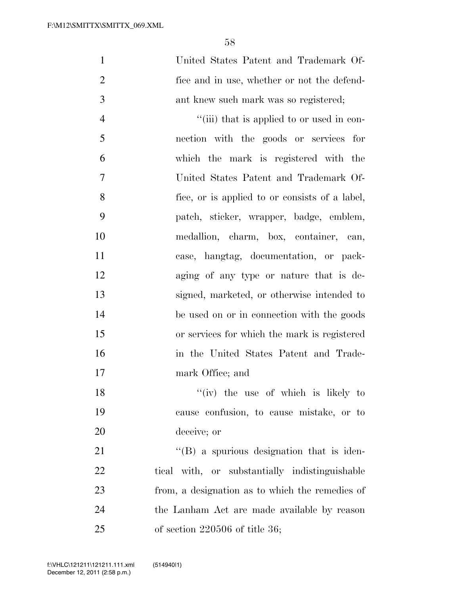| $\mathbf{1}$   | United States Patent and Trademark Of-            |
|----------------|---------------------------------------------------|
| $\overline{2}$ | fice and in use, whether or not the defend-       |
| 3              | ant knew such mark was so registered;             |
| $\overline{4}$ | "(iii) that is applied to or used in con-         |
| 5              | nection with the goods or services for            |
| 6              | which the mark is registered with the             |
| 7              | United States Patent and Trademark Of-            |
| 8              | fice, or is applied to or consists of a label,    |
| 9              | patch, sticker, wrapper, badge, emblem,           |
| 10             | medallion, charm, box, container, can,            |
| 11             | case, hangtag, documentation, or pack-            |
| 12             | aging of any type or nature that is de-           |
| 13             | signed, marketed, or otherwise intended to        |
| 14             | be used on or in connection with the goods        |
| 15             | or services for which the mark is registered      |
| 16             | in the United States Patent and Trade-            |
| 17             | mark Office; and                                  |
| 18             | $f'(iv)$ the use of which is likely to            |
| 19             | cause confusion, to cause mistake, or to          |
| 20             | deceive; or                                       |
| 21             | $\lq\lq (B)$ a spurious designation that is iden- |
| 22             | tical with, or substantially indistinguishable    |
|                |                                                   |

 from, a designation as to which the remedies of the Lanham Act are made available by reason of section 220506 of title 36;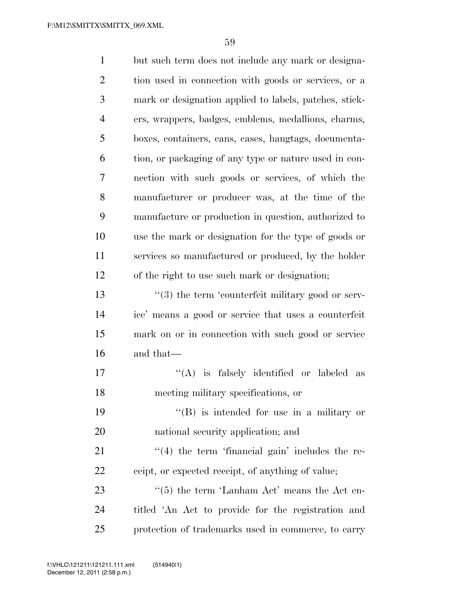| $\mathbf{1}$   | but such term does not include any mark or designa-           |
|----------------|---------------------------------------------------------------|
| $\overline{c}$ | tion used in connection with goods or services, or a          |
| 3              | mark or designation applied to labels, patches, stick-        |
| $\overline{4}$ | ers, wrappers, badges, emblems, medallions, charms,           |
| 5              | boxes, containers, cans, cases, hangtags, documenta-          |
| 6              | tion, or packaging of any type or nature used in con-         |
| 7              | nection with such goods or services, of which the             |
| 8              | manufacturer or producer was, at the time of the              |
| 9              | manufacture or production in question, authorized to          |
| 10             | use the mark or designation for the type of goods or          |
| 11             | services so manufactured or produced, by the holder           |
| 12             | of the right to use such mark or designation;                 |
| 13             | $\cdot\cdot$ (3) the term 'counterfeit military good or serv- |
| 14             | ice' means a good or service that uses a counterfeit          |
| 15             | mark on or in connection with such good or service            |
| 16             | and that—                                                     |
| 17             | $\lq($ A) is<br>falsely identified or labeled as              |
| 18             | meeting military specifications, or                           |
| 19             | "(B) is intended for use in a military or                     |
| 20             | national security application; and                            |
| 21             | $\lq(4)$ the term 'financial gain' includes the re-           |
| 22             | ceipt, or expected receipt, of anything of value;             |
| 23             | $\cdot\cdot$ (5) the term 'Lanham Act' means the Act en-      |
| 24             | titled 'An Act to provide for the registration and            |
| 25             | protection of trademarks used in commerce, to carry           |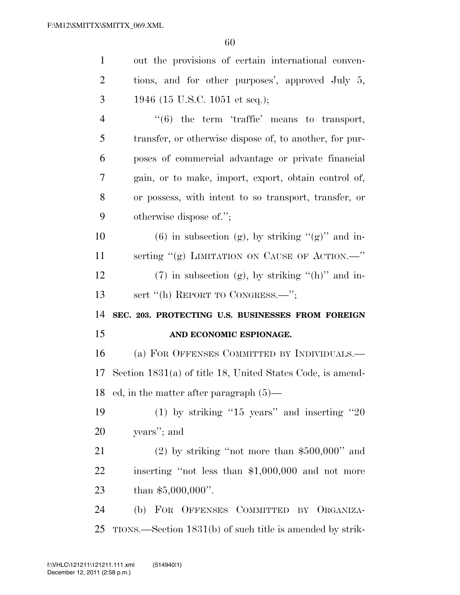| $\mathbf{1}$   | out the provisions of certain international conven-          |
|----------------|--------------------------------------------------------------|
| $\overline{2}$ | tions, and for other purposes', approved July 5,             |
| 3              | 1946 (15 U.S.C. 1051 et seq.);                               |
| $\overline{4}$ | $``(6)$ the term 'traffic' means to transport,               |
| 5              | transfer, or otherwise dispose of, to another, for pur-      |
| 6              | poses of commercial advantage or private financial           |
| 7              | gain, or to make, import, export, obtain control of,         |
| 8              | or possess, with intent to so transport, transfer, or        |
| 9              | otherwise dispose of.";                                      |
| 10             | $(6)$ in subsection (g), by striking " $(g)$ " and in-       |
| 11             | serting "(g) LIMITATION ON CAUSE OF ACTION. <sup>"</sup>     |
| 12             | $(7)$ in subsection (g), by striking " $(h)$ " and in-       |
|                | sert "(h) REPORT TO CONGRESS.—";                             |
| 13             |                                                              |
| 14             | SEC. 203. PROTECTING U.S. BUSINESSES FROM FOREIGN            |
| 15             | AND ECONOMIC ESPIONAGE.                                      |
| 16             | (a) FOR OFFENSES COMMITTED BY INDIVIDUALS.—                  |
| 17             | Section $1831(a)$ of title 18, United States Code, is amend- |
| 18             | ed, in the matter after paragraph $(5)$ —                    |
| 19             | (1) by striking "15 years" and inserting "20                 |
| 20             | years"; and                                                  |
| 21             | $(2)$ by striking "not more than \$500,000" and              |
| 22             | inserting "not less than \$1,000,000 and not more            |
| 23             | than $$5,000,000$ ".                                         |
| 24             | (b) FOR OFFENSES COMMITTED BY ORGANIZA-                      |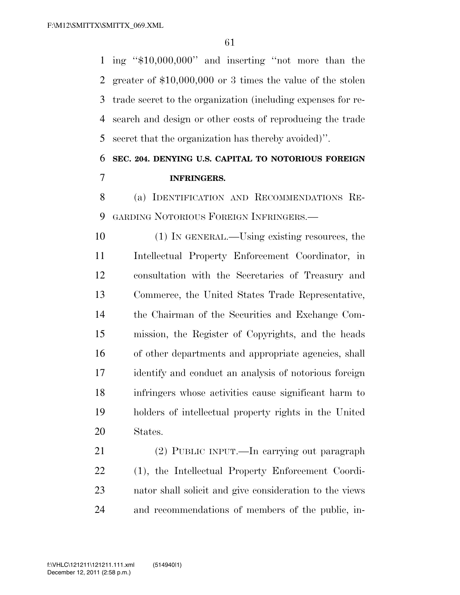ing ''\$10,000,000'' and inserting ''not more than the greater of \$10,000,000 or 3 times the value of the stolen trade secret to the organization (including expenses for re- search and design or other costs of reproducing the trade secret that the organization has thereby avoided)''.

## **SEC. 204. DENYING U.S. CAPITAL TO NOTORIOUS FOREIGN INFRINGERS.**

 (a) IDENTIFICATION AND RECOMMENDATIONS RE-GARDING NOTORIOUS FOREIGN INFRINGERS.—

 (1) IN GENERAL.—Using existing resources, the Intellectual Property Enforcement Coordinator, in consultation with the Secretaries of Treasury and Commerce, the United States Trade Representative, the Chairman of the Securities and Exchange Com- mission, the Register of Copyrights, and the heads of other departments and appropriate agencies, shall identify and conduct an analysis of notorious foreign infringers whose activities cause significant harm to holders of intellectual property rights in the United States.

 (2) PUBLIC INPUT.—In carrying out paragraph (1), the Intellectual Property Enforcement Coordi- nator shall solicit and give consideration to the views and recommendations of members of the public, in-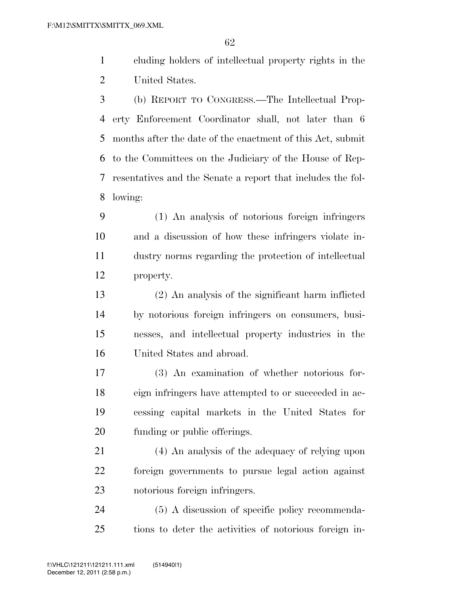cluding holders of intellectual property rights in the United States.

 (b) REPORT TO CONGRESS.—The Intellectual Prop- erty Enforcement Coordinator shall, not later than 6 months after the date of the enactment of this Act, submit to the Committees on the Judiciary of the House of Rep- resentatives and the Senate a report that includes the fol-lowing:

 (1) An analysis of notorious foreign infringers and a discussion of how these infringers violate in- dustry norms regarding the protection of intellectual property.

 (2) An analysis of the significant harm inflicted by notorious foreign infringers on consumers, busi- nesses, and intellectual property industries in the United States and abroad.

 (3) An examination of whether notorious for- eign infringers have attempted to or succeeded in ac- cessing capital markets in the United States for funding or public offerings.

 (4) An analysis of the adequacy of relying upon foreign governments to pursue legal action against notorious foreign infringers.

 (5) A discussion of specific policy recommenda-tions to deter the activities of notorious foreign in-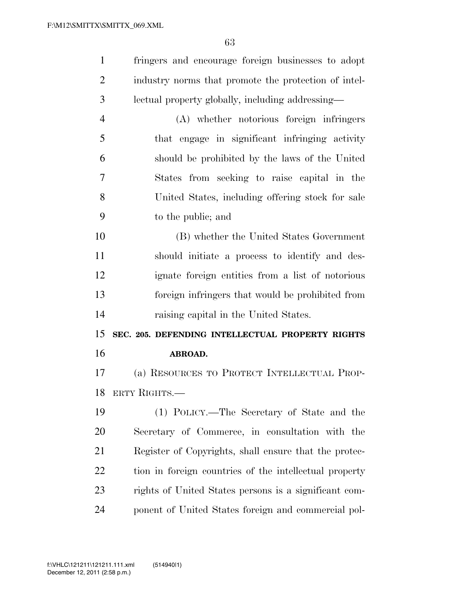| $\mathbf{1}$   | fringers and encourage foreign businesses to adopt     |
|----------------|--------------------------------------------------------|
| 2              | industry norms that promote the protection of intel-   |
| 3              | lectual property globally, including addressing—       |
| $\overline{4}$ | (A) whether notorious foreign infringers               |
| 5              | that engage in significant infringing activity         |
| 6              | should be prohibited by the laws of the United         |
| 7              | States from seeking to raise capital in the            |
| 8              | United States, including offering stock for sale       |
| 9              | to the public; and                                     |
| 10             | (B) whether the United States Government               |
| 11             | should initiate a process to identify and des-         |
| 12             | ignate foreign entities from a list of notorious       |
| 13             | foreign infringers that would be prohibited from       |
| 14             | raising capital in the United States.                  |
| 15             | SEC. 205. DEFENDING INTELLECTUAL PROPERTY RIGHTS       |
| 16             | ABROAD.                                                |
| 17             | (a) RESOURCES TO PROTECT INTELLECTUAL PROP-            |
| 18             | ERTY RIGHTS.                                           |
| 19             | (1) POLICY.—The Secretary of State and the             |
| 20             | Secretary of Commerce, in consultation with the        |
| 21             | Register of Copyrights, shall ensure that the protec-  |
| 22             | tion in foreign countries of the intellectual property |
| 23             | rights of United States persons is a significant com-  |
|                |                                                        |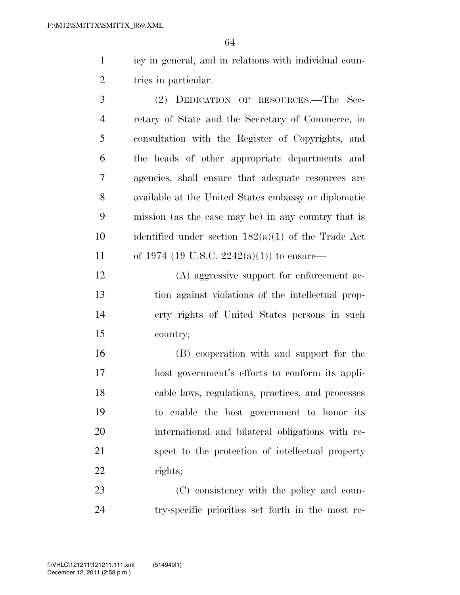icy in general, and in relations with individual coun-2 tries in particular.

 (2) DEDICATION OF RESOURCES.—The Sec- retary of State and the Secretary of Commerce, in consultation with the Register of Copyrights, and the heads of other appropriate departments and agencies, shall ensure that adequate resources are available at the United States embassy or diplomatic mission (as the case may be) in any country that is identified under section 182(a)(1) of the Trade Act 11 of 1974 (19 U.S.C.  $2242(a)(1)$ ) to ensure—

 (A) aggressive support for enforcement ac- tion against violations of the intellectual prop- erty rights of United States persons in such country;

 (B) cooperation with and support for the host government's efforts to conform its appli- cable laws, regulations, practices, and processes to enable the host government to honor its international and bilateral obligations with re- spect to the protection of intellectual property rights;

23 (C) consistency with the policy and coun-try-specific priorities set forth in the most re-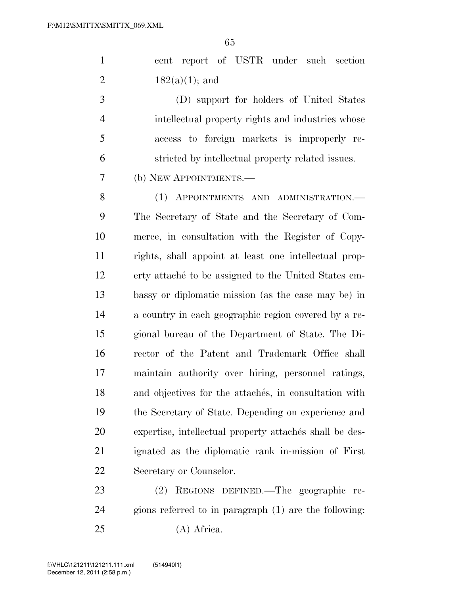|  |                   |  |  | cent report of USTR under such section |
|--|-------------------|--|--|----------------------------------------|
|  | $182(a)(1)$ ; and |  |  |                                        |

 (D) support for holders of United States intellectual property rights and industries whose access to foreign markets is improperly re-stricted by intellectual property related issues.

(b) NEW APPOINTMENTS.—

8 (1) APPOINTMENTS AND ADMINISTRATION.— The Secretary of State and the Secretary of Com- merce, in consultation with the Register of Copy- rights, shall appoint at least one intellectual prop-12 erty attaches to be assigned to the United States em- bassy or diplomatic mission (as the case may be) in a country in each geographic region covered by a re- gional bureau of the Department of State. The Di- rector of the Patent and Trademark Office shall maintain authority over hiring, personnel ratings, 18 and objectives for the attaches, in consultation with the Secretary of State. Depending on experience and 20 expertise, intellectual property attaches shall be des- ignated as the diplomatic rank in-mission of First Secretary or Counselor.

 (2) REGIONS DEFINED.—The geographic re- gions referred to in paragraph (1) are the following: (A) Africa.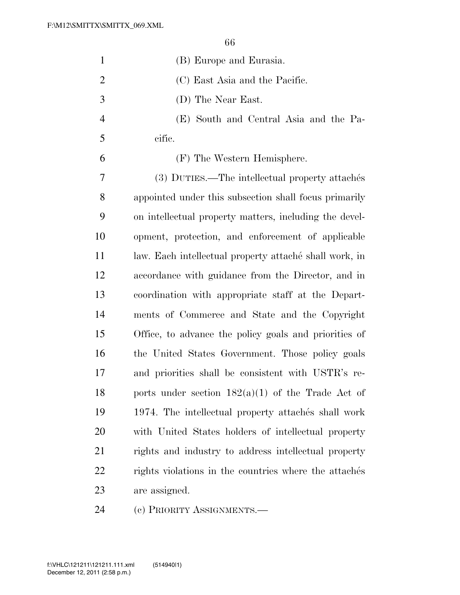| $\mathbf{1}$   | (B) Europe and Eurasia.                                |
|----------------|--------------------------------------------------------|
| $\overline{2}$ | (C) East Asia and the Pacific.                         |
| 3              | (D) The Near East.                                     |
| $\overline{4}$ | (E) South and Central Asia and the Pa-                 |
| 5              | cific.                                                 |
| 6              | (F) The Western Hemisphere.                            |
| 7              | (3) DUTIES.—The intellectual property attachés         |
| 8              | appointed under this subsection shall focus primarily  |
| 9              | on intellectual property matters, including the devel- |
| 10             | opment, protection, and enforcement of applicable      |
| 11             | law. Each intellectual property attaché shall work, in |
| 12             | accordance with guidance from the Director, and in     |
| 13             | coordination with appropriate staff at the Depart-     |
| 14             | ments of Commerce and State and the Copyright          |
| 15             | Office, to advance the policy goals and priorities of  |
| 16             | the United States Government. Those policy goals       |
| 17             | and priorities shall be consistent with USTR's re-     |
| 18             | ports under section $182(a)(1)$ of the Trade Act of    |
| 19             | 1974. The intellectual property attachés shall work    |
| 20             | with United States holders of intellectual property    |
| 21             | rights and industry to address intellectual property   |
| 22             | rights violations in the countries where the attaches  |
| 23             | are assigned.                                          |
| 24             | (c) PRIORITY ASSIGNMENTS.—                             |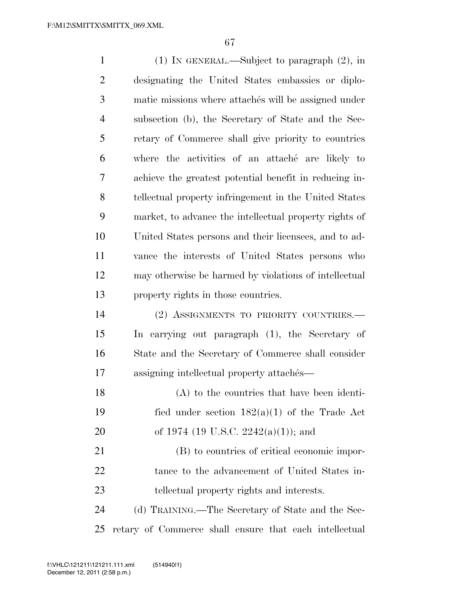| $\mathbf{1}$   | $(1)$ In GENERAL.—Subject to paragraph $(2)$ , in      |
|----------------|--------------------------------------------------------|
| $\overline{2}$ | designating the United States embassies or diplo-      |
| 3              | matic missions where attaches will be assigned under   |
| $\overline{4}$ | subsection (b), the Secretary of State and the Sec-    |
| 5              | retary of Commerce shall give priority to countries    |
| 6              | where the activities of an attaché are likely to       |
| 7              | achieve the greatest potential benefit in reducing in- |
| 8              | tellectual property infringement in the United States  |
| 9              | market, to advance the intellectual property rights of |
| 10             | United States persons and their licensees, and to ad-  |
| 11             | vance the interests of United States persons who       |
| 12             | may otherwise be harmed by violations of intellectual  |
| 13             | property rights in those countries.                    |
| 14             | (2) ASSIGNMENTS TO PRIORITY COUNTRIES.-                |
| 15             | In carrying out paragraph (1), the Secretary of        |
| 16             | State and the Secretary of Commerce shall consider     |
| 17             | assigning intellectual property attachés—              |
| 18             | $(A)$ to the countries that have been identi-          |
| 19             | fied under section $182(a)(1)$ of the Trade Act        |
| 20             | of 1974 (19 U.S.C. 2242(a)(1)); and                    |
| 21             | (B) to countries of critical economic impor-           |
| 22             | tance to the advancement of United States in-          |
| 23             | tellectual property rights and interests.              |
| 24             | (d) TRAINING.—The Secretary of State and the Sec-      |
| 25             | retary of Commerce shall ensure that each intellectual |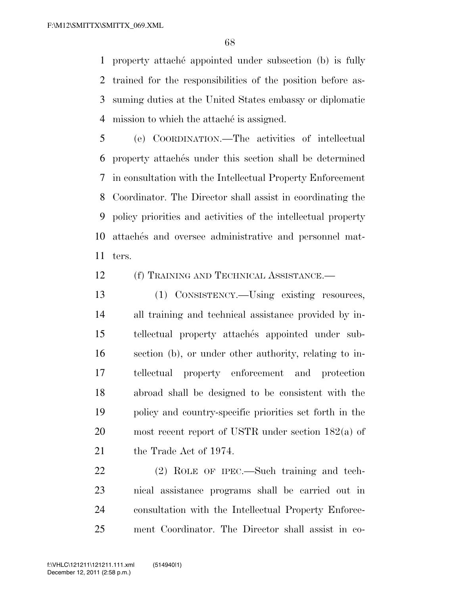property attache´ appointed under subsection (b) is fully trained for the responsibilities of the position before as- suming duties at the United States embassy or diplomatic 4 mission to which the attaches is assigned.

 (e) COORDINATION.—The activities of intellectual 6 property attaches under this section shall be determined in consultation with the Intellectual Property Enforcement Coordinator. The Director shall assist in coordinating the policy priorities and activities of the intellectual property 10 attaches and oversee administrative and personnel mat-ters.

(f) TRAINING AND TECHNICAL ASSISTANCE.—

 (1) CONSISTENCY.—Using existing resources, all training and technical assistance provided by in-15 tellectual property attachés appointed under sub- section (b), or under other authority, relating to in- tellectual property enforcement and protection abroad shall be designed to be consistent with the policy and country-specific priorities set forth in the most recent report of USTR under section 182(a) of 21 the Trade Act of 1974.

 (2) ROLE OF IPEC.—Such training and tech- nical assistance programs shall be carried out in consultation with the Intellectual Property Enforce-ment Coordinator. The Director shall assist in co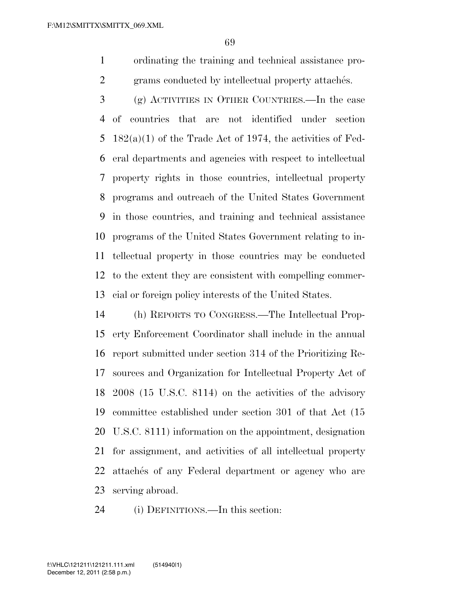ordinating the training and technical assistance pro-2 grams conducted by intellectual property attaches.

- (g) ACTIVITIES IN OTHER COUNTRIES.—In the case of countries that are not identified under section 5  $182(a)(1)$  of the Trade Act of 1974, the activities of Fed- eral departments and agencies with respect to intellectual property rights in those countries, intellectual property programs and outreach of the United States Government in those countries, and training and technical assistance programs of the United States Government relating to in- tellectual property in those countries may be conducted to the extent they are consistent with compelling commer-cial or foreign policy interests of the United States.
- (h) REPORTS TO CONGRESS.—The Intellectual Prop- erty Enforcement Coordinator shall include in the annual report submitted under section 314 of the Prioritizing Re- sources and Organization for Intellectual Property Act of 2008 (15 U.S.C. 8114) on the activities of the advisory committee established under section 301 of that Act (15 U.S.C. 8111) information on the appointment, designation for assignment, and activities of all intellectual property 22 attaches of any Federal department or agency who are serving abroad.
- (i) DEFINITIONS.—In this section: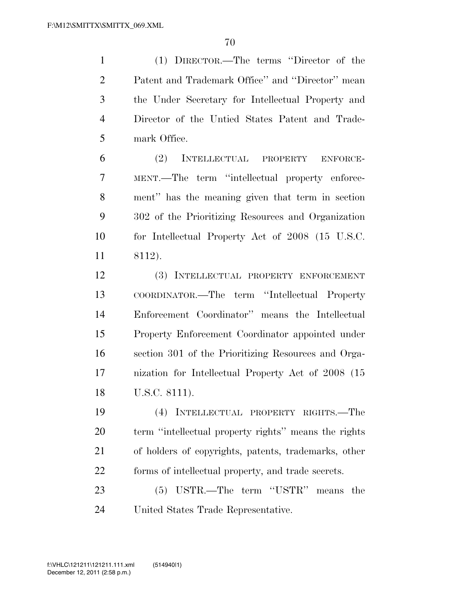(1) DIRECTOR.—The terms ''Director of the Patent and Trademark Office'' and ''Director'' mean the Under Secretary for Intellectual Property and Director of the Untied States Patent and Trade-mark Office.

 (2) INTELLECTUAL PROPERTY ENFORCE- MENT.—The term ''intellectual property enforce- ment'' has the meaning given that term in section 302 of the Prioritizing Resources and Organization for Intellectual Property Act of 2008 (15 U.S.C. 8112).

 (3) INTELLECTUAL PROPERTY ENFORCEMENT COORDINATOR.—The term ''Intellectual Property Enforcement Coordinator'' means the Intellectual Property Enforcement Coordinator appointed under section 301 of the Prioritizing Resources and Orga- nization for Intellectual Property Act of 2008 (15 U.S.C. 8111).

 (4) INTELLECTUAL PROPERTY RIGHTS.—The term ''intellectual property rights'' means the rights of holders of copyrights, patents, trademarks, other forms of intellectual property, and trade secrets.

 (5) USTR.—The term ''USTR'' means the United States Trade Representative.